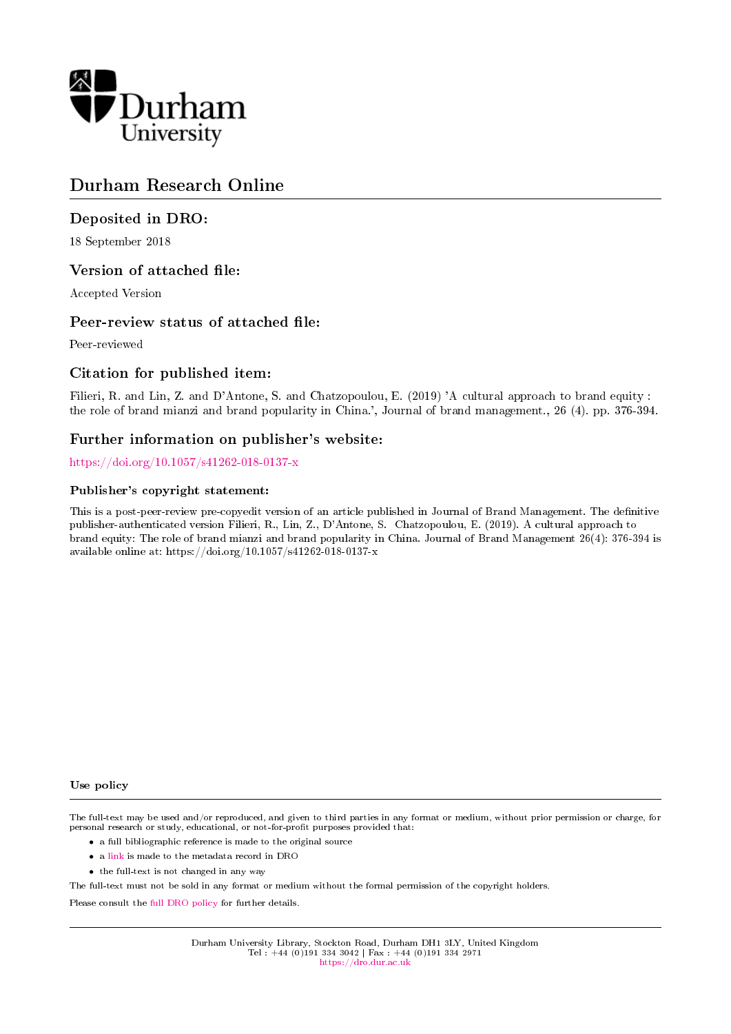

# Durham Research Online

## Deposited in DRO:

18 September 2018

## Version of attached file:

Accepted Version

## Peer-review status of attached file:

Peer-reviewed

## Citation for published item:

Filieri, R. and Lin, Z. and D'Antone, S. and Chatzopoulou, E. (2019) 'A cultural approach to brand equity : the role of brand mianzi and brand popularity in China.', Journal of brand management., 26 (4). pp. 376-394.

## Further information on publisher's website:

<https://doi.org/10.1057/s41262-018-0137-x>

#### Publisher's copyright statement:

This is a post-peer-review pre-copyedit version of an article published in Journal of Brand Management. The definitive publisher-authenticated version Filieri, R., Lin, Z., D'Antone, S. Chatzopoulou, E. (2019). A cultural approach to brand equity: The role of brand mianzi and brand popularity in China. Journal of Brand Management 26(4): 376-394 is available online at: https://doi.org/10.1057/s41262-018-0137-x

#### Use policy

The full-text may be used and/or reproduced, and given to third parties in any format or medium, without prior permission or charge, for personal research or study, educational, or not-for-profit purposes provided that:

- a full bibliographic reference is made to the original source
- a [link](http://dro.dur.ac.uk/26227/) is made to the metadata record in DRO
- the full-text is not changed in any way

The full-text must not be sold in any format or medium without the formal permission of the copyright holders.

Please consult the [full DRO policy](https://dro.dur.ac.uk/policies/usepolicy.pdf) for further details.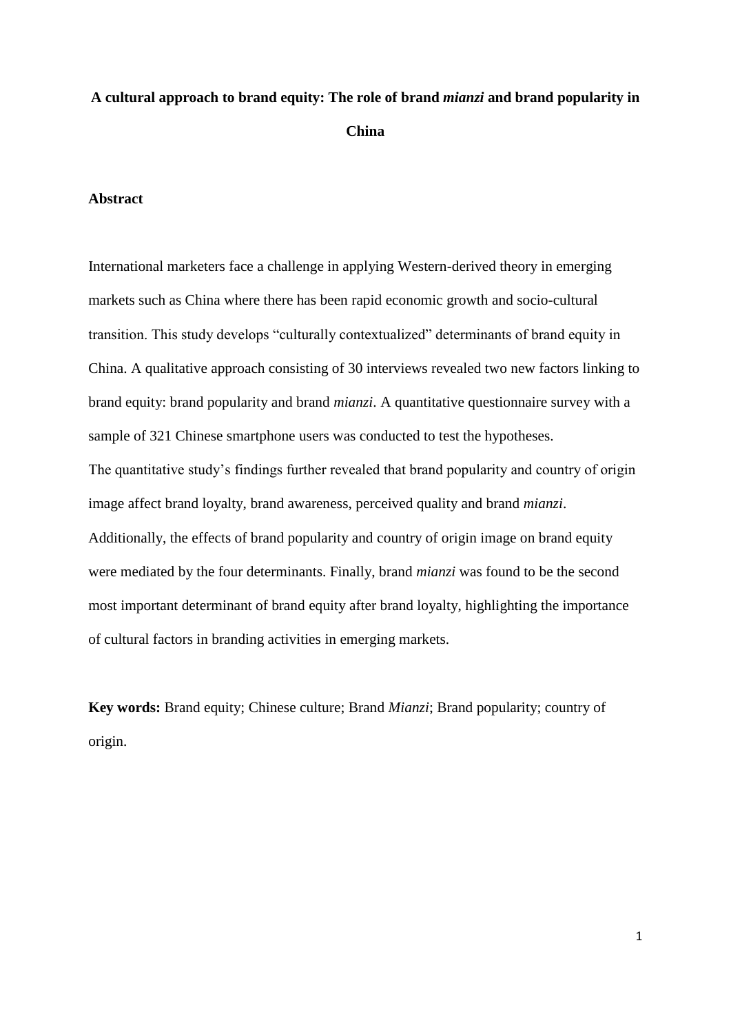# **A cultural approach to brand equity: The role of brand** *mianzi* **and brand popularity in China**

## **Abstract**

International marketers face a challenge in applying Western-derived theory in emerging markets such as China where there has been rapid economic growth and socio-cultural transition. This study develops "culturally contextualized" determinants of brand equity in China. A qualitative approach consisting of 30 interviews revealed two new factors linking to brand equity: brand popularity and brand *mianzi*. A quantitative questionnaire survey with a sample of 321 Chinese smartphone users was conducted to test the hypotheses. The quantitative study's findings further revealed that brand popularity and country of origin image affect brand loyalty, brand awareness, perceived quality and brand *mianzi*. Additionally, the effects of brand popularity and country of origin image on brand equity were mediated by the four determinants. Finally, brand *mianzi* was found to be the second most important determinant of brand equity after brand loyalty, highlighting the importance of cultural factors in branding activities in emerging markets.

**Key words:** Brand equity; Chinese culture; Brand *Mianzi*; Brand popularity; country of origin.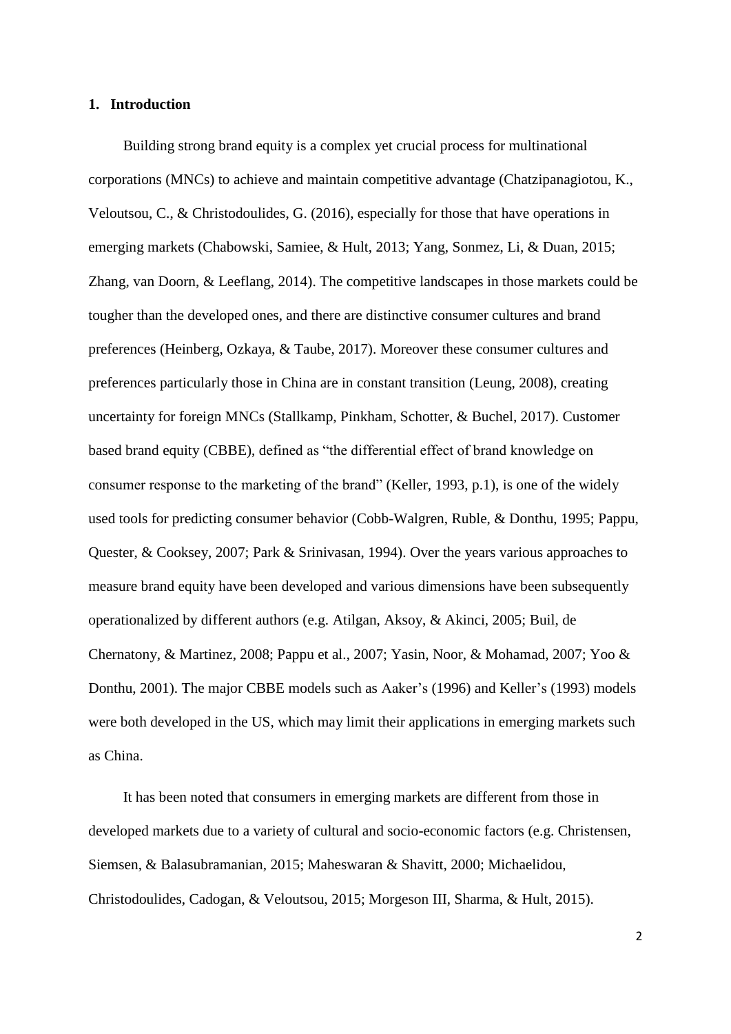#### **1. Introduction**

Building strong brand equity is a complex yet crucial process for multinational corporations (MNCs) to achieve and maintain competitive advantage (Chatzipanagiotou, K., Veloutsou, C., & Christodoulides, G. (2016), especially for those that have operations in emerging markets (Chabowski, Samiee, & Hult, 2013; Yang, Sonmez, Li, & Duan, 2015; Zhang, van Doorn, & Leeflang, 2014). The competitive landscapes in those markets could be tougher than the developed ones, and there are distinctive consumer cultures and brand preferences (Heinberg, Ozkaya, & Taube, 2017). Moreover these consumer cultures and preferences particularly those in China are in constant transition (Leung, 2008), creating uncertainty for foreign MNCs (Stallkamp, Pinkham, Schotter, & Buchel, 2017). Customer based brand equity (CBBE), defined as "the differential effect of brand knowledge on consumer response to the marketing of the brand" (Keller, 1993, p.1), is one of the widely used tools for predicting consumer behavior (Cobb-Walgren, Ruble, & Donthu, 1995; Pappu, Quester, & Cooksey, 2007; Park & Srinivasan, 1994). Over the years various approaches to measure brand equity have been developed and various dimensions have been subsequently operationalized by different authors (e.g. Atilgan, Aksoy, & Akinci, 2005; Buil, de Chernatony, & Martinez, 2008; Pappu et al., 2007; Yasin, Noor, & Mohamad, 2007; Yoo & Donthu, 2001). The major CBBE models such as Aaker's (1996) and Keller's (1993) models were both developed in the US, which may limit their applications in emerging markets such as China.

It has been noted that consumers in emerging markets are different from those in developed markets due to a variety of cultural and socio-economic factors (e.g. Christensen, Siemsen, & Balasubramanian, 2015; Maheswaran & Shavitt, 2000; Michaelidou, Christodoulides, Cadogan, & Veloutsou, 2015; Morgeson III, Sharma, & Hult, 2015).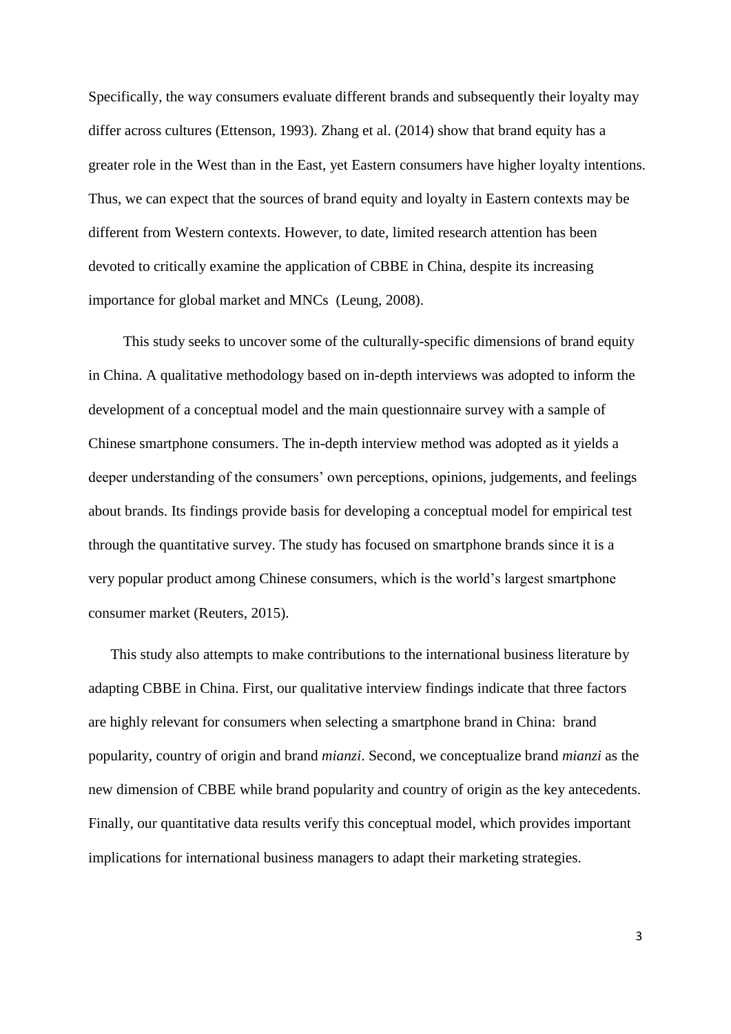Specifically, the way consumers evaluate different brands and subsequently their loyalty may differ across cultures (Ettenson, 1993). Zhang et al. (2014) show that brand equity has a greater role in the West than in the East, yet Eastern consumers have higher loyalty intentions. Thus, we can expect that the sources of brand equity and loyalty in Eastern contexts may be different from Western contexts. However, to date, limited research attention has been devoted to critically examine the application of CBBE in China, despite its increasing importance for global market and MNCs (Leung, 2008).

This study seeks to uncover some of the culturally-specific dimensions of brand equity in China. A qualitative methodology based on in-depth interviews was adopted to inform the development of a conceptual model and the main questionnaire survey with a sample of Chinese smartphone consumers. The in-depth interview method was adopted as it yields a deeper understanding of the consumers' own perceptions, opinions, judgements, and feelings about brands. Its findings provide basis for developing a conceptual model for empirical test through the quantitative survey. The study has focused on smartphone brands since it is a very popular product among Chinese consumers, which is the world's largest smartphone consumer market (Reuters, 2015).

This study also attempts to make contributions to the international business literature by adapting CBBE in China. First, our qualitative interview findings indicate that three factors are highly relevant for consumers when selecting a smartphone brand in China: brand popularity, country of origin and brand *mianzi*. Second, we conceptualize brand *mianzi* as the new dimension of CBBE while brand popularity and country of origin as the key antecedents. Finally, our quantitative data results verify this conceptual model, which provides important implications for international business managers to adapt their marketing strategies.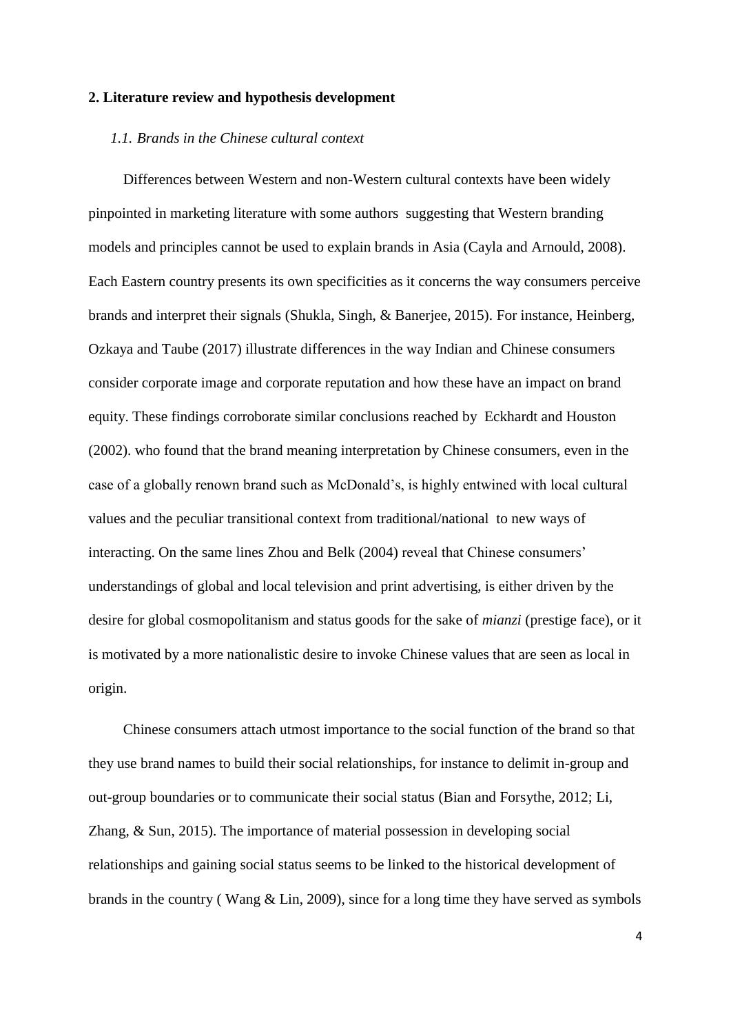#### **2. Literature review and hypothesis development**

#### *1.1. Brands in the Chinese cultural context*

Differences between Western and non-Western cultural contexts have been widely pinpointed in marketing literature with some authors suggesting that Western branding models and principles cannot be used to explain brands in Asia (Cayla and Arnould, 2008). Each Eastern country presents its own specificities as it concerns the way consumers perceive brands and interpret their signals (Shukla, Singh, & Banerjee, 2015). For instance, Heinberg, Ozkaya and Taube (2017) illustrate differences in the way Indian and Chinese consumers consider corporate image and corporate reputation and how these have an impact on brand equity. These findings corroborate similar conclusions reached by Eckhardt and Houston (2002). who found that the brand meaning interpretation by Chinese consumers, even in the case of a globally renown brand such as McDonald's, is highly entwined with local cultural values and the peculiar transitional context from traditional/national to new ways of interacting. On the same lines Zhou and Belk (2004) reveal that Chinese consumers' understandings of global and local television and print advertising, is either driven by the desire for global cosmopolitanism and status goods for the sake of *mianzi* (prestige face), or it is motivated by a more nationalistic desire to invoke Chinese values that are seen as local in origin.

Chinese consumers attach utmost importance to the social function of the brand so that they use brand names to build their social relationships, for instance to delimit in-group and out-group boundaries or to communicate their social status (Bian and Forsythe, 2012; Li, Zhang, & Sun, 2015). The importance of material possession in developing social relationships and gaining social status seems to be linked to the historical development of brands in the country ( Wang & Lin, 2009), since for a long time they have served as symbols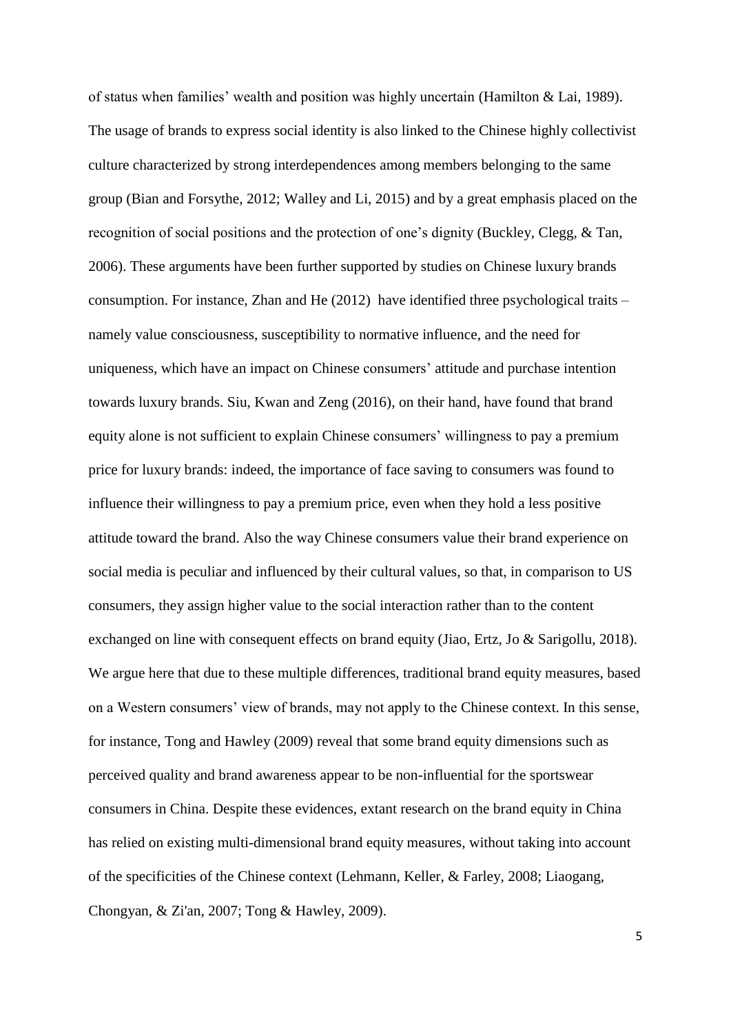of status when families' wealth and position was highly uncertain (Hamilton & Lai, 1989). The usage of brands to express social identity is also linked to the Chinese highly collectivist culture characterized by strong interdependences among members belonging to the same group (Bian and Forsythe, 2012; Walley and Li, 2015) and by a great emphasis placed on the recognition of social positions and the protection of one's dignity (Buckley, Clegg, & Tan, 2006). These arguments have been further supported by studies on Chinese luxury brands consumption. For instance, Zhan and He (2012) have identified three psychological traits – namely value consciousness, susceptibility to normative influence, and the need for uniqueness, which have an impact on Chinese consumers' attitude and purchase intention towards luxury brands. Siu, Kwan and Zeng (2016), on their hand, have found that brand equity alone is not sufficient to explain Chinese consumers' willingness to pay a premium price for luxury brands: indeed, the importance of face saving to consumers was found to influence their willingness to pay a premium price, even when they hold a less positive attitude toward the brand. Also the way Chinese consumers value their brand experience on social media is peculiar and influenced by their cultural values, so that, in comparison to US consumers, they assign higher value to the social interaction rather than to the content exchanged on line with consequent effects on brand equity (Jiao, Ertz, Jo & Sarigollu, 2018). We argue here that due to these multiple differences, traditional brand equity measures, based on a Western consumers' view of brands, may not apply to the Chinese context. In this sense, for instance, Tong and Hawley (2009) reveal that some brand equity dimensions such as perceived quality and brand awareness appear to be non-influential for the sportswear consumers in China. Despite these evidences, extant research on the brand equity in China has relied on existing multi-dimensional brand equity measures, without taking into account of the specificities of the Chinese context (Lehmann, Keller, & Farley, 2008; Liaogang, Chongyan, & Zi'an, 2007; Tong & Hawley, 2009).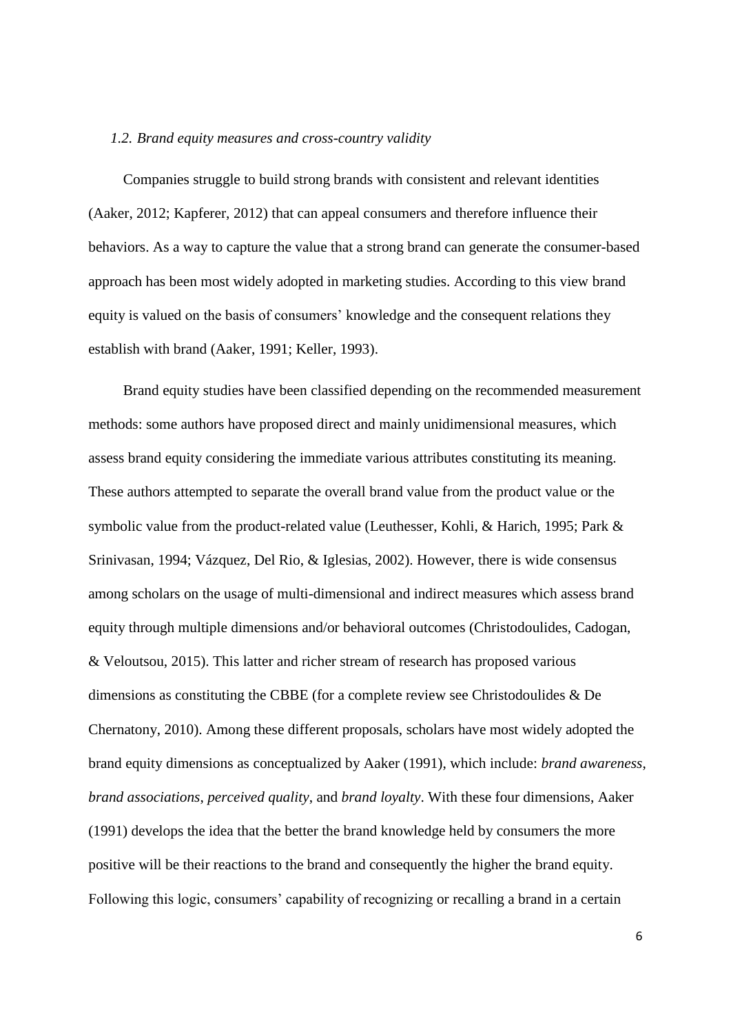#### *1.2. Brand equity measures and cross-country validity*

Companies struggle to build strong brands with consistent and relevant identities (Aaker, 2012; Kapferer, 2012) that can appeal consumers and therefore influence their behaviors. As a way to capture the value that a strong brand can generate the consumer-based approach has been most widely adopted in marketing studies. According to this view brand equity is valued on the basis of consumers' knowledge and the consequent relations they establish with brand (Aaker, 1991; Keller, 1993).

Brand equity studies have been classified depending on the recommended measurement methods: some authors have proposed direct and mainly unidimensional measures, which assess brand equity considering the immediate various attributes constituting its meaning. These authors attempted to separate the overall brand value from the product value or the symbolic value from the product-related value (Leuthesser, Kohli, & Harich, 1995; Park & Srinivasan, 1994; Vázquez, Del Rio, & Iglesias, 2002). However, there is wide consensus among scholars on the usage of multi-dimensional and indirect measures which assess brand equity through multiple dimensions and/or behavioral outcomes (Christodoulides, Cadogan, & Veloutsou, 2015). This latter and richer stream of research has proposed various dimensions as constituting the CBBE (for a complete review see Christodoulides & De Chernatony, 2010). Among these different proposals, scholars have most widely adopted the brand equity dimensions as conceptualized by Aaker (1991), which include: *brand awareness*, *brand associations*, *perceived quality*, and *brand loyalty*. With these four dimensions, Aaker (1991) develops the idea that the better the brand knowledge held by consumers the more positive will be their reactions to the brand and consequently the higher the brand equity. Following this logic, consumers' capability of recognizing or recalling a brand in a certain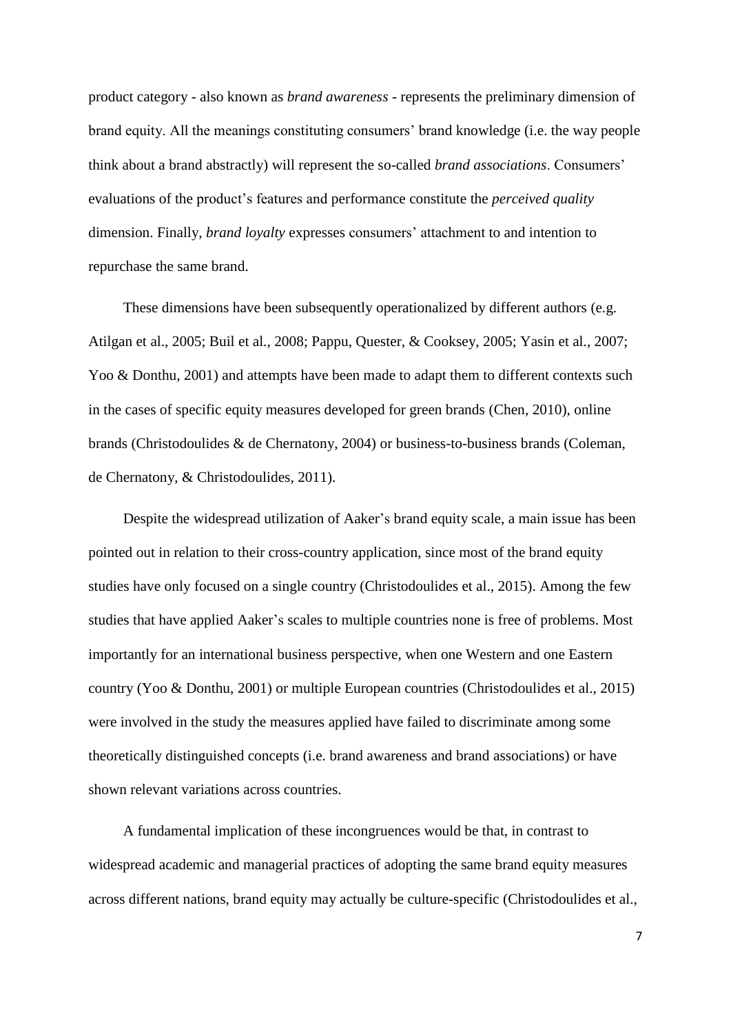product category - also known as *brand awareness* - represents the preliminary dimension of brand equity. All the meanings constituting consumers' brand knowledge (i.e. the way people think about a brand abstractly) will represent the so-called *brand associations*. Consumers' evaluations of the product's features and performance constitute the *perceived quality* dimension. Finally, *brand loyalty* expresses consumers' attachment to and intention to repurchase the same brand.

These dimensions have been subsequently operationalized by different authors (e.g. Atilgan et al., 2005; Buil et al., 2008; Pappu, Quester, & Cooksey, 2005; Yasin et al., 2007; Yoo & Donthu, 2001) and attempts have been made to adapt them to different contexts such in the cases of specific equity measures developed for green brands (Chen, 2010), online brands (Christodoulides & de Chernatony, 2004) or business-to-business brands (Coleman, de Chernatony, & Christodoulides, 2011).

Despite the widespread utilization of Aaker's brand equity scale, a main issue has been pointed out in relation to their cross-country application, since most of the brand equity studies have only focused on a single country (Christodoulides et al., 2015). Among the few studies that have applied Aaker's scales to multiple countries none is free of problems. Most importantly for an international business perspective, when one Western and one Eastern country (Yoo & Donthu, 2001) or multiple European countries (Christodoulides et al., 2015) were involved in the study the measures applied have failed to discriminate among some theoretically distinguished concepts (i.e. brand awareness and brand associations) or have shown relevant variations across countries.

A fundamental implication of these incongruences would be that, in contrast to widespread academic and managerial practices of adopting the same brand equity measures across different nations, brand equity may actually be culture-specific (Christodoulides et al.,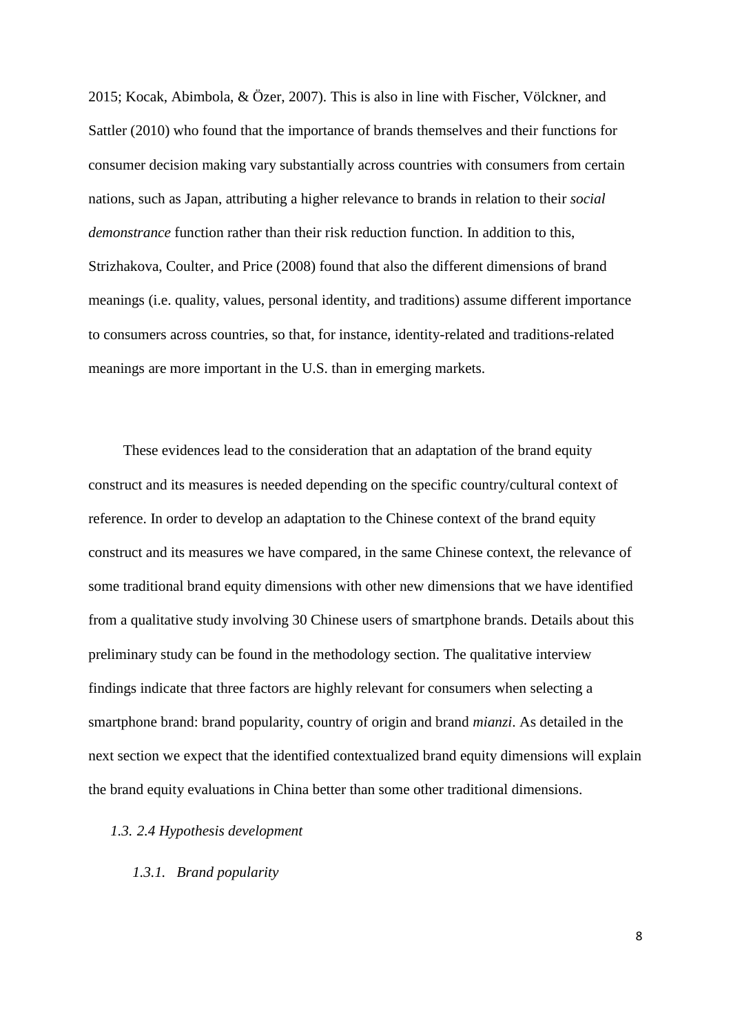2015; Kocak, Abimbola, & Özer, 2007). This is also in line with Fischer, Völckner, and Sattler (2010) who found that the importance of brands themselves and their functions for consumer decision making vary substantially across countries with consumers from certain nations, such as Japan, attributing a higher relevance to brands in relation to their *social demonstrance* function rather than their risk reduction function. In addition to this, Strizhakova, Coulter, and Price (2008) found that also the different dimensions of brand meanings (i.e. quality, values, personal identity, and traditions) assume different importance to consumers across countries, so that, for instance, identity-related and traditions-related meanings are more important in the U.S. than in emerging markets.

These evidences lead to the consideration that an adaptation of the brand equity construct and its measures is needed depending on the specific country/cultural context of reference. In order to develop an adaptation to the Chinese context of the brand equity construct and its measures we have compared, in the same Chinese context, the relevance of some traditional brand equity dimensions with other new dimensions that we have identified from a qualitative study involving 30 Chinese users of smartphone brands. Details about this preliminary study can be found in the methodology section. The qualitative interview findings indicate that three factors are highly relevant for consumers when selecting a smartphone brand: brand popularity, country of origin and brand *mianzi*. As detailed in the next section we expect that the identified contextualized brand equity dimensions will explain the brand equity evaluations in China better than some other traditional dimensions.

## *1.3. 2.4 Hypothesis development*

*1.3.1. Brand popularity*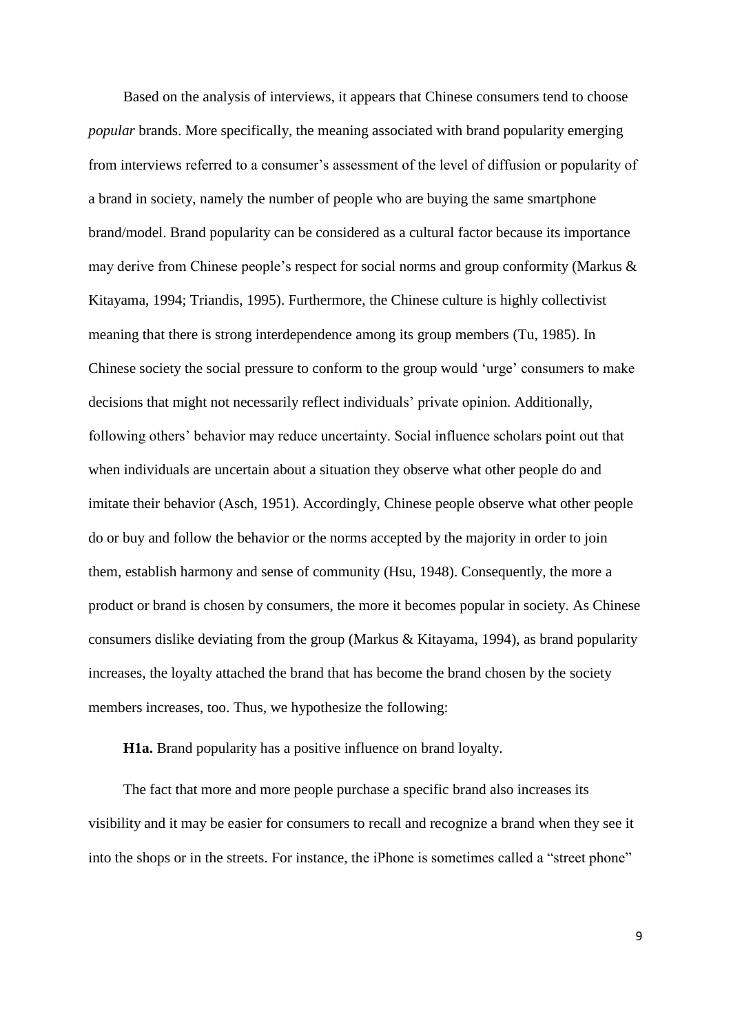Based on the analysis of interviews, it appears that Chinese consumers tend to choose *popular* brands. More specifically, the meaning associated with brand popularity emerging from interviews referred to a consumer's assessment of the level of diffusion or popularity of a brand in society, namely the number of people who are buying the same smartphone brand/model. Brand popularity can be considered as a cultural factor because its importance may derive from Chinese people's respect for social norms and group conformity (Markus & Kitayama, 1994; Triandis, 1995). Furthermore, the Chinese culture is highly collectivist meaning that there is strong interdependence among its group members (Tu, 1985). In Chinese society the social pressure to conform to the group would 'urge' consumers to make decisions that might not necessarily reflect individuals' private opinion. Additionally, following others' behavior may reduce uncertainty. Social influence scholars point out that when individuals are uncertain about a situation they observe what other people do and imitate their behavior (Asch, 1951). Accordingly, Chinese people observe what other people do or buy and follow the behavior or the norms accepted by the majority in order to join them, establish harmony and sense of community (Hsu, 1948). Consequently, the more a product or brand is chosen by consumers, the more it becomes popular in society. As Chinese consumers dislike deviating from the group (Markus & Kitayama, 1994), as brand popularity increases, the loyalty attached the brand that has become the brand chosen by the society members increases, too. Thus, we hypothesize the following:

**H1a.** Brand popularity has a positive influence on brand loyalty.

The fact that more and more people purchase a specific brand also increases its visibility and it may be easier for consumers to recall and recognize a brand when they see it into the shops or in the streets. For instance, the iPhone is sometimes called a "street phone"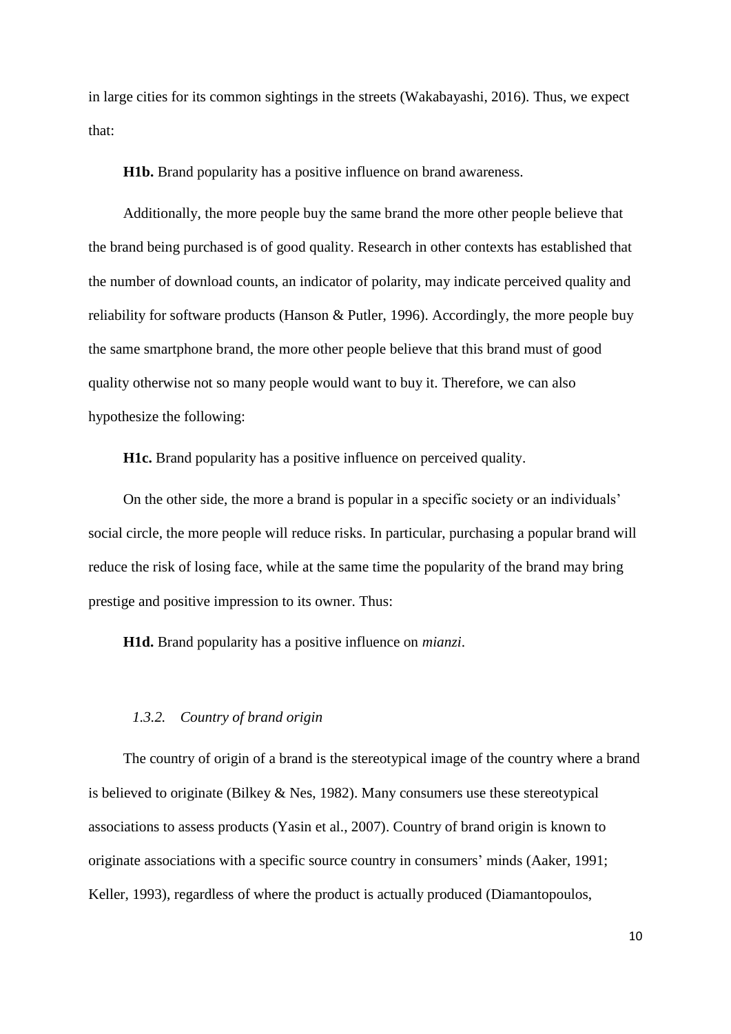in large cities for its common sightings in the streets (Wakabayashi, 2016). Thus, we expect that:

**H1b.** Brand popularity has a positive influence on brand awareness.

Additionally, the more people buy the same brand the more other people believe that the brand being purchased is of good quality. Research in other contexts has established that the number of download counts, an indicator of polarity, may indicate perceived quality and reliability for software products (Hanson & Putler, 1996). Accordingly, the more people buy the same smartphone brand, the more other people believe that this brand must of good quality otherwise not so many people would want to buy it. Therefore, we can also hypothesize the following:

**H1c.** Brand popularity has a positive influence on perceived quality.

On the other side, the more a brand is popular in a specific society or an individuals' social circle, the more people will reduce risks. In particular, purchasing a popular brand will reduce the risk of losing face, while at the same time the popularity of the brand may bring prestige and positive impression to its owner. Thus:

**H1d.** Brand popularity has a positive influence on *mianzi*.

## *1.3.2. Country of brand origin*

The country of origin of a brand is the stereotypical image of the country where a brand is believed to originate (Bilkey & Nes, 1982). Many consumers use these stereotypical associations to assess products (Yasin et al., 2007). Country of brand origin is known to originate associations with a specific source country in consumers' minds (Aaker, 1991; Keller, 1993), regardless of where the product is actually produced (Diamantopoulos,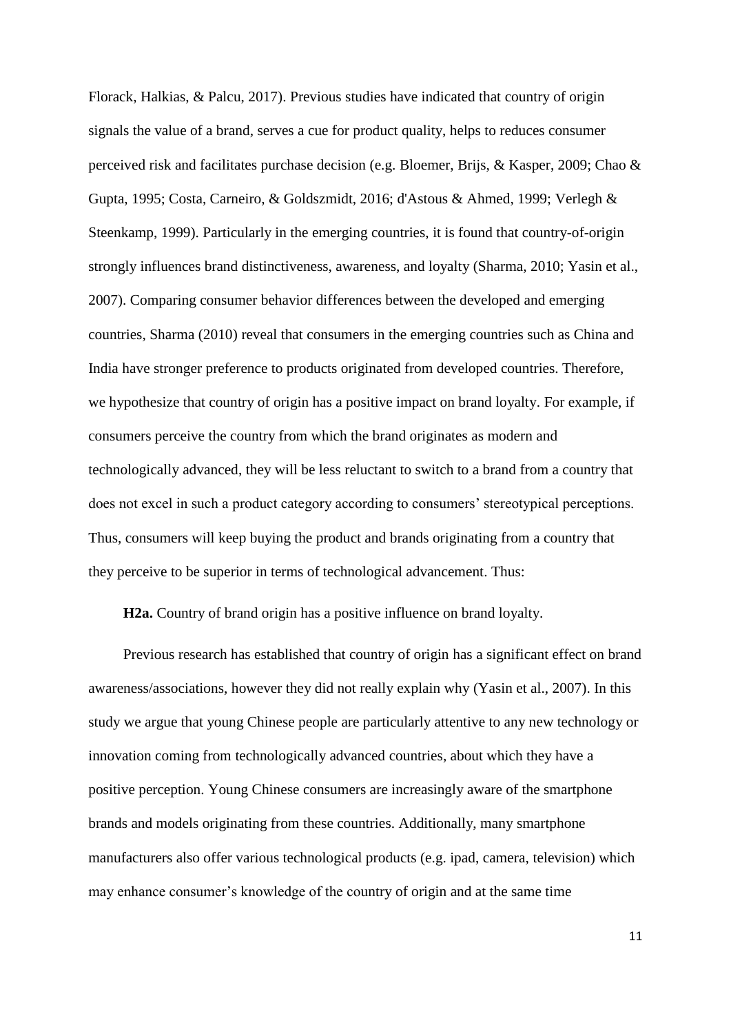Florack, Halkias, & Palcu, 2017). Previous studies have indicated that country of origin signals the value of a brand, serves a cue for product quality, helps to reduces consumer perceived risk and facilitates purchase decision (e.g. Bloemer, Brijs, & Kasper, 2009; Chao & Gupta, 1995; Costa, Carneiro, & Goldszmidt, 2016; d'Astous & Ahmed, 1999; Verlegh & Steenkamp, 1999). Particularly in the emerging countries, it is found that country-of-origin strongly influences brand distinctiveness, awareness, and loyalty (Sharma, 2010; Yasin et al., 2007). Comparing consumer behavior differences between the developed and emerging countries, Sharma (2010) reveal that consumers in the emerging countries such as China and India have stronger preference to products originated from developed countries. Therefore, we hypothesize that country of origin has a positive impact on brand loyalty. For example, if consumers perceive the country from which the brand originates as modern and technologically advanced, they will be less reluctant to switch to a brand from a country that does not excel in such a product category according to consumers' stereotypical perceptions. Thus, consumers will keep buying the product and brands originating from a country that they perceive to be superior in terms of technological advancement. Thus:

**H2a.** Country of brand origin has a positive influence on brand loyalty.

Previous research has established that country of origin has a significant effect on brand awareness/associations, however they did not really explain why (Yasin et al., 2007). In this study we argue that young Chinese people are particularly attentive to any new technology or innovation coming from technologically advanced countries, about which they have a positive perception. Young Chinese consumers are increasingly aware of the smartphone brands and models originating from these countries. Additionally, many smartphone manufacturers also offer various technological products (e.g. ipad, camera, television) which may enhance consumer's knowledge of the country of origin and at the same time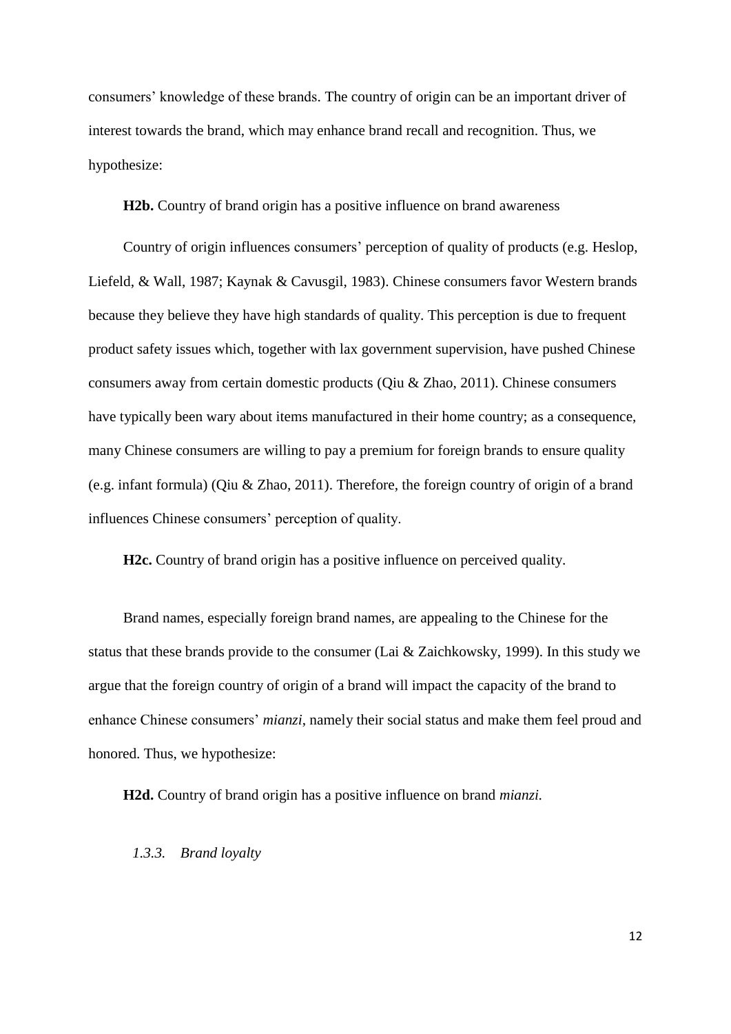consumers' knowledge of these brands. The country of origin can be an important driver of interest towards the brand, which may enhance brand recall and recognition. Thus, we hypothesize:

**H2b.** Country of brand origin has a positive influence on brand awareness

Country of origin influences consumers' perception of quality of products (e.g. Heslop, Liefeld, & Wall, 1987; Kaynak & Cavusgil, 1983). Chinese consumers favor Western brands because they believe they have high standards of quality. This perception is due to frequent product safety issues which, together with lax government supervision, have pushed Chinese consumers away from certain domestic products (Qiu & Zhao, 2011). Chinese consumers have typically been wary about items manufactured in their home country; as a consequence, many Chinese consumers are willing to pay a premium for foreign brands to ensure quality (e.g. infant formula) (Qiu & Zhao, 2011). Therefore, the foreign country of origin of a brand influences Chinese consumers' perception of quality.

**H2c.** Country of brand origin has a positive influence on perceived quality.

Brand names, especially foreign brand names, are appealing to the Chinese for the status that these brands provide to the consumer (Lai & Zaichkowsky, 1999). In this study we argue that the foreign country of origin of a brand will impact the capacity of the brand to enhance Chinese consumers' *mianzi*, namely their social status and make them feel proud and honored. Thus, we hypothesize:

**H2d.** Country of brand origin has a positive influence on brand *mianzi.*

## *1.3.3. Brand loyalty*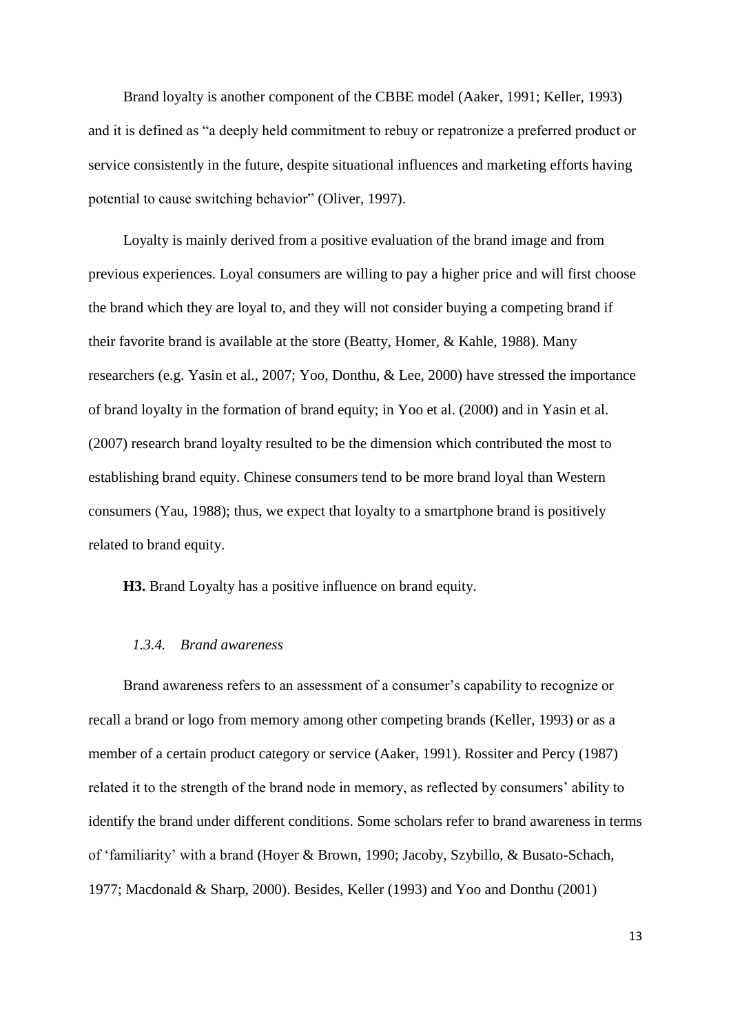Brand loyalty is another component of the CBBE model (Aaker, 1991; Keller, 1993) and it is defined as "a deeply held commitment to rebuy or repatronize a preferred product or service consistently in the future, despite situational influences and marketing efforts having potential to cause switching behavior" (Oliver, 1997).

Loyalty is mainly derived from a positive evaluation of the brand image and from previous experiences. Loyal consumers are willing to pay a higher price and will first choose the brand which they are loyal to, and they will not consider buying a competing brand if their favorite brand is available at the store (Beatty, Homer, & Kahle, 1988). Many researchers (e.g. Yasin et al., 2007; Yoo, Donthu, & Lee, 2000) have stressed the importance of brand loyalty in the formation of brand equity; in Yoo et al. (2000) and in Yasin et al. (2007) research brand loyalty resulted to be the dimension which contributed the most to establishing brand equity. Chinese consumers tend to be more brand loyal than Western consumers (Yau, 1988); thus, we expect that loyalty to a smartphone brand is positively related to brand equity.

**H3.** Brand Loyalty has a positive influence on brand equity.

#### *1.3.4. Brand awareness*

Brand awareness refers to an assessment of a consumer's capability to recognize or recall a brand or logo from memory among other competing brands (Keller, 1993) or as a member of a certain product category or service (Aaker, 1991). Rossiter and Percy (1987) related it to the strength of the brand node in memory, as reflected by consumers' ability to identify the brand under different conditions. Some scholars refer to brand awareness in terms of 'familiarity' with a brand (Hoyer & Brown, 1990; Jacoby, Szybillo, & Busato-Schach, 1977; Macdonald & Sharp, 2000). Besides, Keller (1993) and Yoo and Donthu (2001)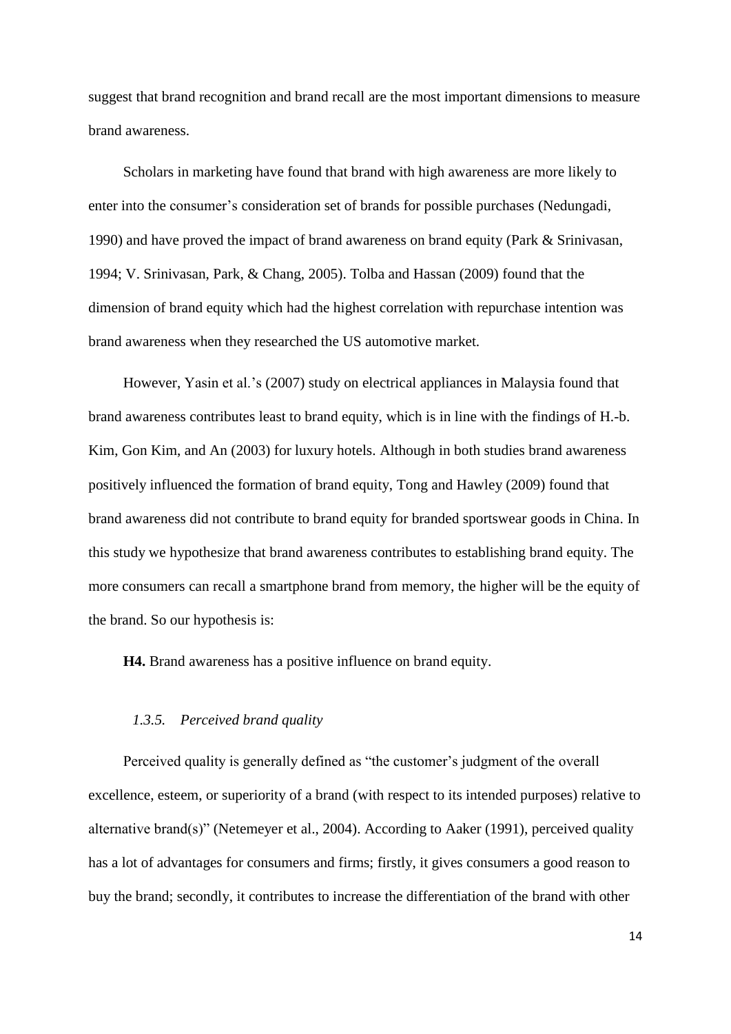suggest that brand recognition and brand recall are the most important dimensions to measure brand awareness.

Scholars in marketing have found that brand with high awareness are more likely to enter into the consumer's consideration set of brands for possible purchases (Nedungadi, 1990) and have proved the impact of brand awareness on brand equity (Park & Srinivasan, 1994; V. Srinivasan, Park, & Chang, 2005). Tolba and Hassan (2009) found that the dimension of brand equity which had the highest correlation with repurchase intention was brand awareness when they researched the US automotive market.

However, Yasin et al.'s (2007) study on electrical appliances in Malaysia found that brand awareness contributes least to brand equity, which is in line with the findings of H.-b. Kim, Gon Kim, and An (2003) for luxury hotels. Although in both studies brand awareness positively influenced the formation of brand equity, Tong and Hawley (2009) found that brand awareness did not contribute to brand equity for branded sportswear goods in China. In this study we hypothesize that brand awareness contributes to establishing brand equity. The more consumers can recall a smartphone brand from memory, the higher will be the equity of the brand. So our hypothesis is:

**H4.** Brand awareness has a positive influence on brand equity.

#### *1.3.5. Perceived brand quality*

Perceived quality is generally defined as "the customer's judgment of the overall excellence, esteem, or superiority of a brand (with respect to its intended purposes) relative to alternative brand(s)" (Netemeyer et al., 2004). According to Aaker (1991), perceived quality has a lot of advantages for consumers and firms; firstly, it gives consumers a good reason to buy the brand; secondly, it contributes to increase the differentiation of the brand with other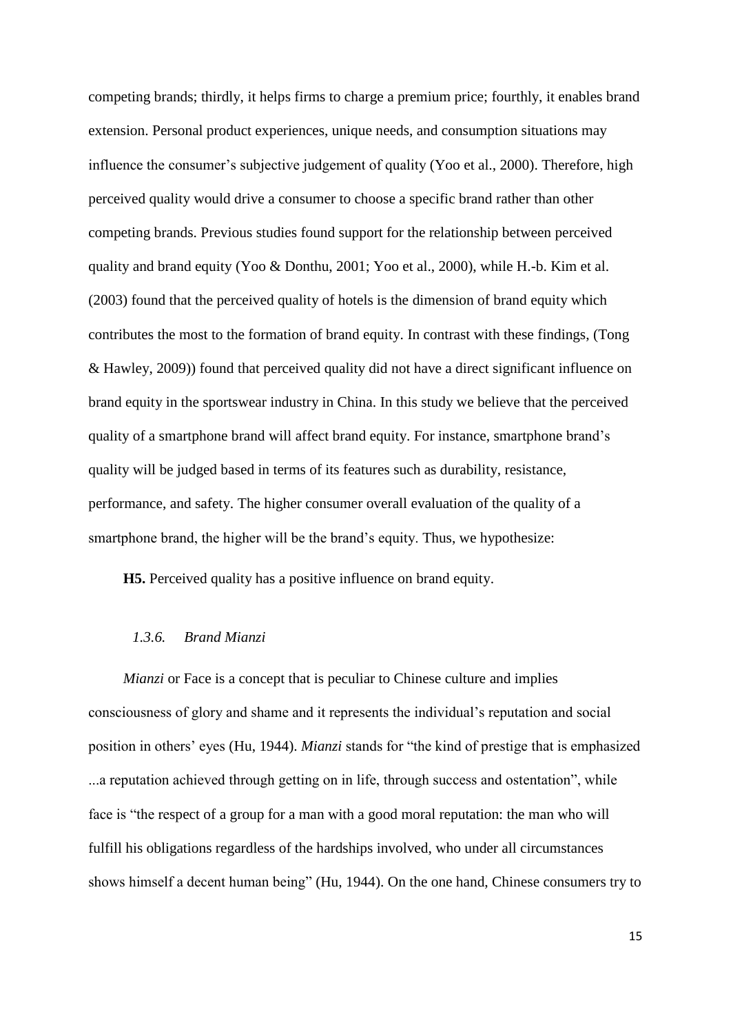competing brands; thirdly, it helps firms to charge a premium price; fourthly, it enables brand extension. Personal product experiences, unique needs, and consumption situations may influence the consumer's subjective judgement of quality (Yoo et al., 2000). Therefore, high perceived quality would drive a consumer to choose a specific brand rather than other competing brands. Previous studies found support for the relationship between perceived quality and brand equity (Yoo & Donthu, 2001; Yoo et al., 2000), while H.-b. Kim et al. (2003) found that the perceived quality of hotels is the dimension of brand equity which contributes the most to the formation of brand equity. In contrast with these findings, (Tong & Hawley, 2009)) found that perceived quality did not have a direct significant influence on brand equity in the sportswear industry in China. In this study we believe that the perceived quality of a smartphone brand will affect brand equity. For instance, smartphone brand's quality will be judged based in terms of its features such as durability, resistance, performance, and safety. The higher consumer overall evaluation of the quality of a smartphone brand, the higher will be the brand's equity. Thus, we hypothesize:

**H5.** Perceived quality has a positive influence on brand equity.

### *1.3.6. Brand Mianzi*

*Mianzi* or Face is a concept that is peculiar to Chinese culture and implies consciousness of glory and shame and it represents the individual's reputation and social position in others' eyes (Hu, 1944). *Mianzi* stands for "the kind of prestige that is emphasized ...a reputation achieved through getting on in life, through success and ostentation", while face is "the respect of a group for a man with a good moral reputation: the man who will fulfill his obligations regardless of the hardships involved, who under all circumstances shows himself a decent human being" (Hu, 1944). On the one hand, Chinese consumers try to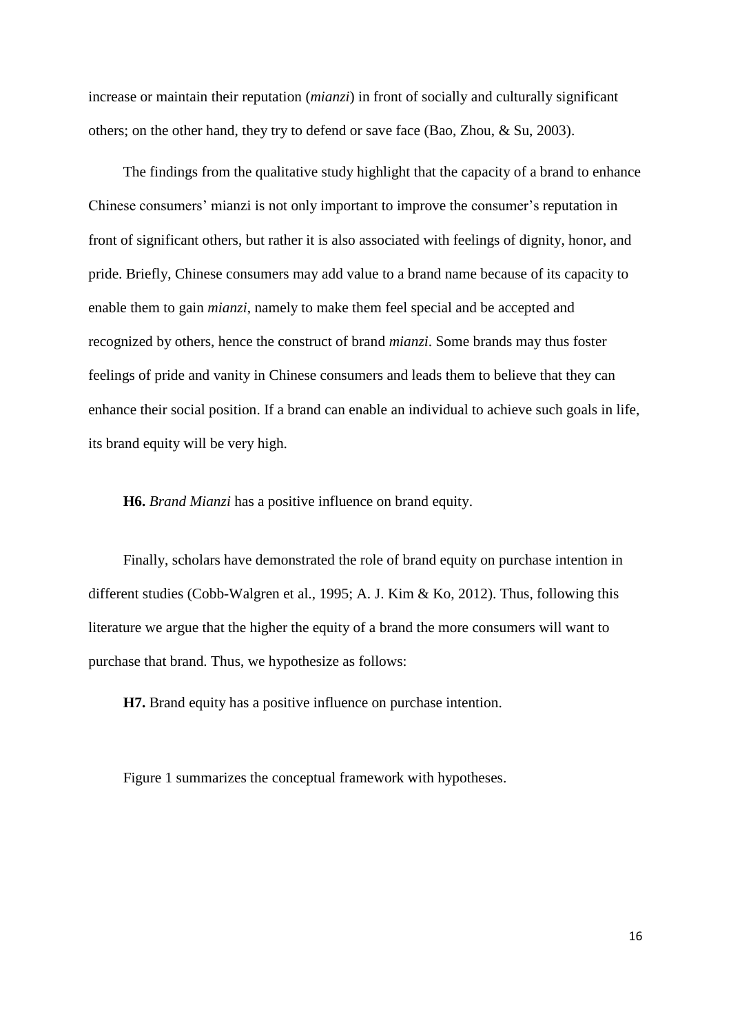increase or maintain their reputation (*mianzi*) in front of socially and culturally significant others; on the other hand, they try to defend or save face (Bao, Zhou, & Su, 2003).

The findings from the qualitative study highlight that the capacity of a brand to enhance Chinese consumers' mianzi is not only important to improve the consumer's reputation in front of significant others, but rather it is also associated with feelings of dignity, honor, and pride. Briefly, Chinese consumers may add value to a brand name because of its capacity to enable them to gain *mianzi*, namely to make them feel special and be accepted and recognized by others, hence the construct of brand *mianzi*. Some brands may thus foster feelings of pride and vanity in Chinese consumers and leads them to believe that they can enhance their social position. If a brand can enable an individual to achieve such goals in life, its brand equity will be very high.

**H6.** *Brand Mianzi* has a positive influence on brand equity.

Finally, scholars have demonstrated the role of brand equity on purchase intention in different studies (Cobb-Walgren et al., 1995; A. J. Kim & Ko, 2012). Thus, following this literature we argue that the higher the equity of a brand the more consumers will want to purchase that brand. Thus, we hypothesize as follows:

**H7.** Brand equity has a positive influence on purchase intention.

Figure 1 summarizes the conceptual framework with hypotheses.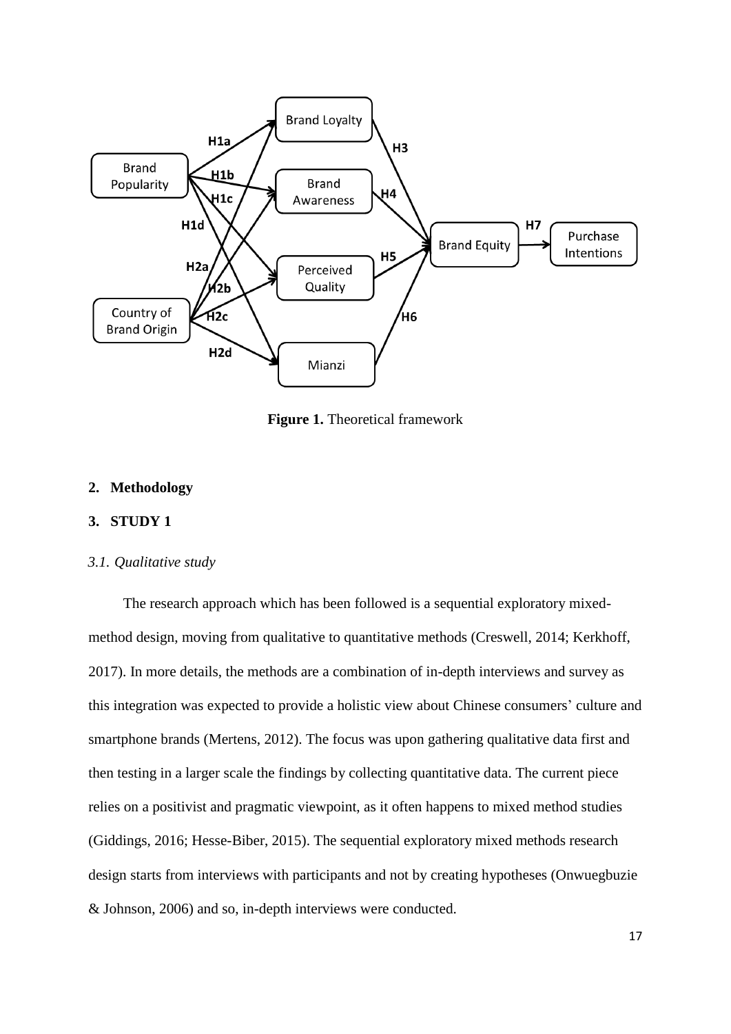

**Figure 1.** Theoretical framework

## **2. Methodology**

## **3. STUDY 1**

### *3.1. Qualitative study*

The research approach which has been followed is a sequential exploratory mixedmethod design, moving from qualitative to quantitative methods (Creswell, 2014; Kerkhoff, 2017). In more details, the methods are a combination of in-depth interviews and survey as this integration was expected to provide a holistic view about Chinese consumers' culture and smartphone brands (Mertens, 2012). The focus was upon gathering qualitative data first and then testing in a larger scale the findings by collecting quantitative data. The current piece relies on a positivist and pragmatic viewpoint, as it often happens to mixed method studies (Giddings, 2016; Hesse-Biber, 2015). The sequential exploratory mixed methods research design starts from interviews with participants and not by creating hypotheses (Onwuegbuzie & Johnson, 2006) and so, in-depth interviews were conducted.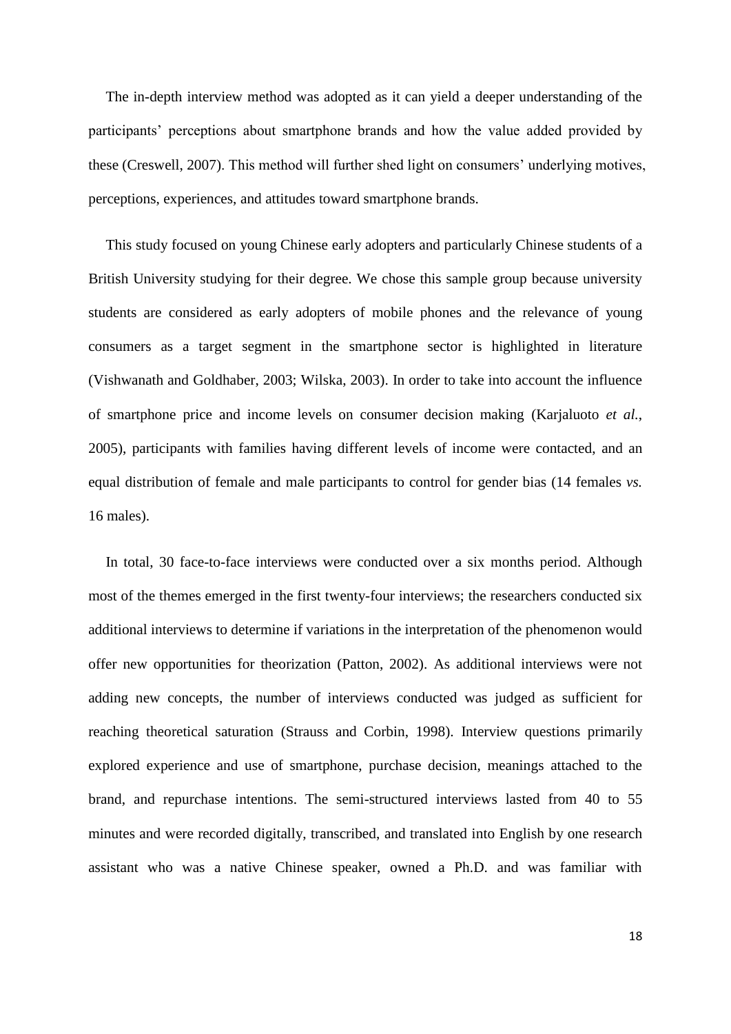The in-depth interview method was adopted as it can yield a deeper understanding of the participants' perceptions about smartphone brands and how the value added provided by these (Creswell, 2007). This method will further shed light on consumers' underlying motives, perceptions, experiences, and attitudes toward smartphone brands.

This study focused on young Chinese early adopters and particularly Chinese students of a British University studying for their degree. We chose this sample group because university students are considered as early adopters of mobile phones and the relevance of young consumers as a target segment in the smartphone sector is highlighted in literature (Vishwanath and Goldhaber, 2003; Wilska, 2003). In order to take into account the influence of smartphone price and income levels on consumer decision making (Karjaluoto *et al.*, 2005), participants with families having different levels of income were contacted, and an equal distribution of female and male participants to control for gender bias (14 females *vs.* 16 males).

In total, 30 face-to-face interviews were conducted over a six months period. Although most of the themes emerged in the first twenty-four interviews; the researchers conducted six additional interviews to determine if variations in the interpretation of the phenomenon would offer new opportunities for theorization (Patton, 2002). As additional interviews were not adding new concepts, the number of interviews conducted was judged as sufficient for reaching theoretical saturation (Strauss and Corbin, 1998). Interview questions primarily explored experience and use of smartphone, purchase decision, meanings attached to the brand, and repurchase intentions. The semi-structured interviews lasted from 40 to 55 minutes and were recorded digitally, transcribed, and translated into English by one research assistant who was a native Chinese speaker, owned a Ph.D. and was familiar with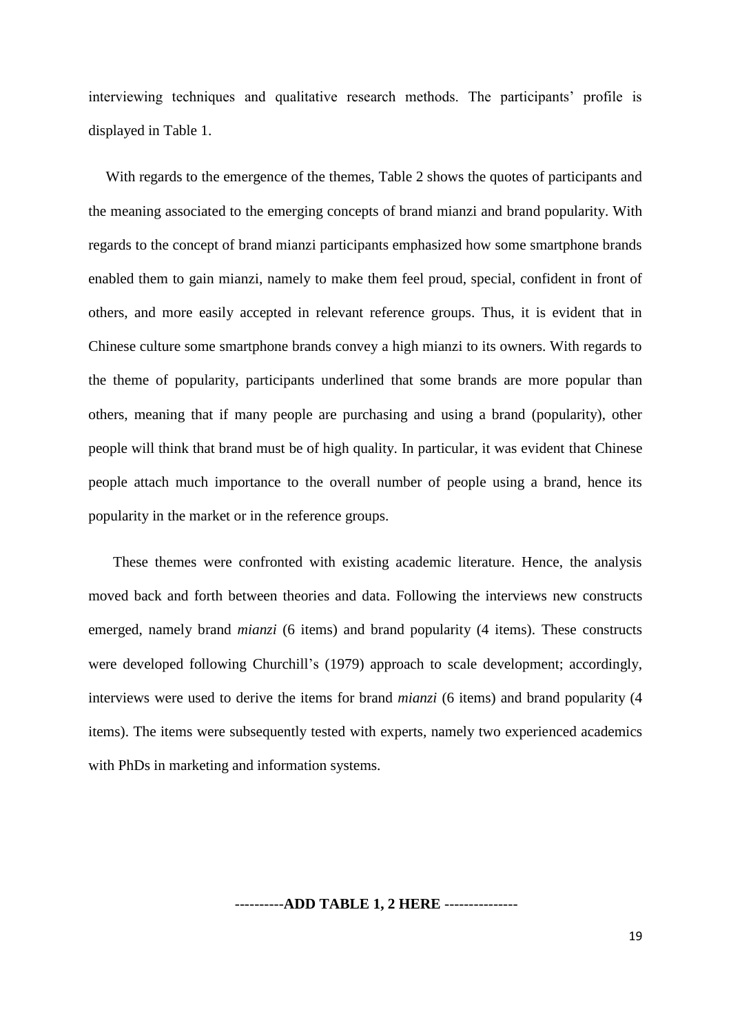interviewing techniques and qualitative research methods. The participants' profile is displayed in Table 1.

With regards to the emergence of the themes, Table 2 shows the quotes of participants and the meaning associated to the emerging concepts of brand mianzi and brand popularity. With regards to the concept of brand mianzi participants emphasized how some smartphone brands enabled them to gain mianzi, namely to make them feel proud, special, confident in front of others, and more easily accepted in relevant reference groups. Thus, it is evident that in Chinese culture some smartphone brands convey a high mianzi to its owners. With regards to the theme of popularity, participants underlined that some brands are more popular than others, meaning that if many people are purchasing and using a brand (popularity), other people will think that brand must be of high quality. In particular, it was evident that Chinese people attach much importance to the overall number of people using a brand, hence its popularity in the market or in the reference groups.

 These themes were confronted with existing academic literature. Hence, the analysis moved back and forth between theories and data. Following the interviews new constructs emerged, namely brand *mianzi* (6 items) and brand popularity (4 items). These constructs were developed following Churchill's (1979) approach to scale development; accordingly, interviews were used to derive the items for brand *mianzi* (6 items) and brand popularity (4 items). The items were subsequently tested with experts, namely two experienced academics with PhDs in marketing and information systems.

#### ----------**ADD TABLE 1, 2 HERE** ---------------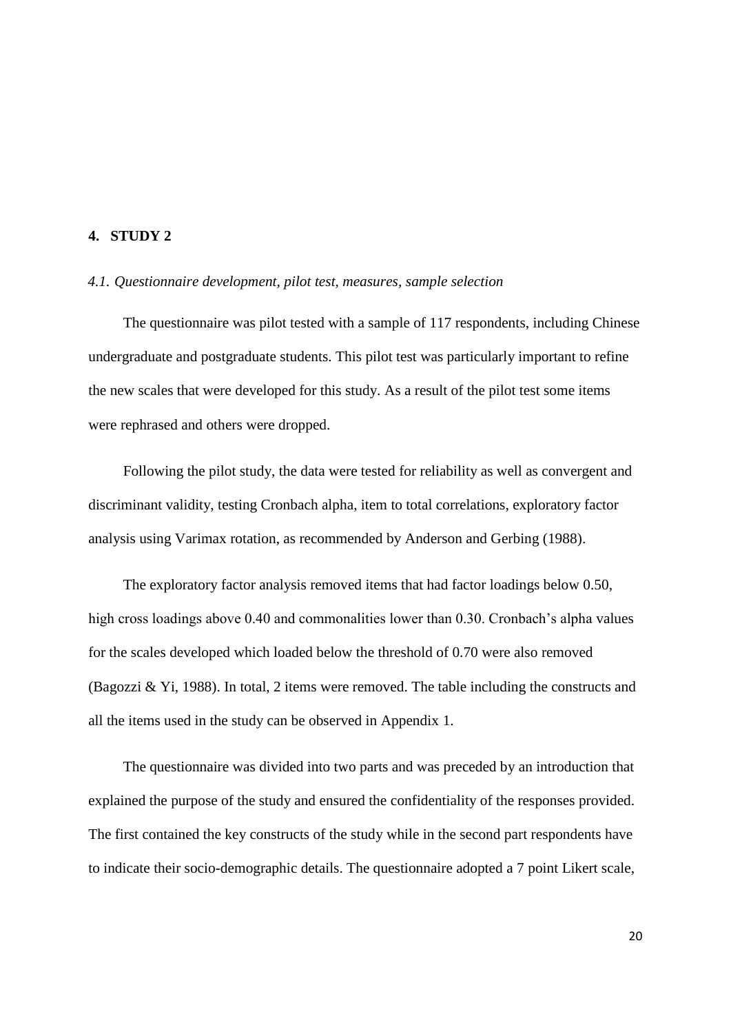## **4. STUDY 2**

#### *4.1. Questionnaire development, pilot test, measures, sample selection*

The questionnaire was pilot tested with a sample of 117 respondents, including Chinese undergraduate and postgraduate students. This pilot test was particularly important to refine the new scales that were developed for this study. As a result of the pilot test some items were rephrased and others were dropped.

Following the pilot study, the data were tested for reliability as well as convergent and discriminant validity, testing Cronbach alpha, item to total correlations, exploratory factor analysis using Varimax rotation, as recommended by Anderson and Gerbing (1988).

The exploratory factor analysis removed items that had factor loadings below 0.50, high cross loadings above 0.40 and commonalities lower than 0.30. Cronbach's alpha values for the scales developed which loaded below the threshold of 0.70 were also removed (Bagozzi & Yi, 1988). In total, 2 items were removed. The table including the constructs and all the items used in the study can be observed in Appendix 1.

The questionnaire was divided into two parts and was preceded by an introduction that explained the purpose of the study and ensured the confidentiality of the responses provided. The first contained the key constructs of the study while in the second part respondents have to indicate their socio-demographic details. The questionnaire adopted a 7 point Likert scale,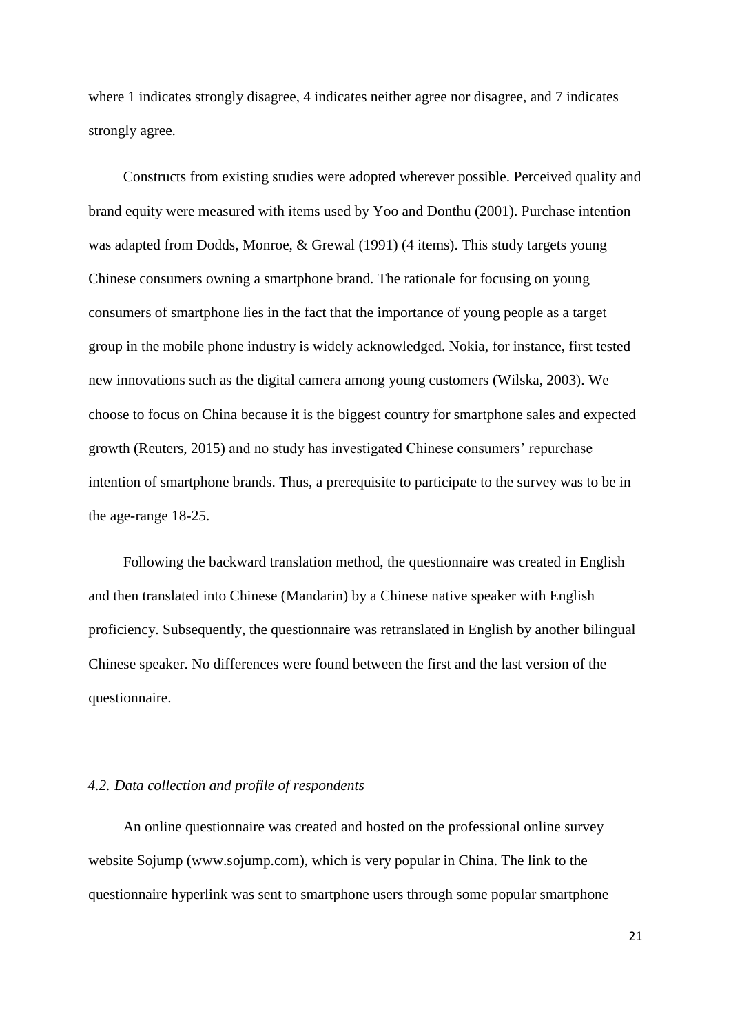where 1 indicates strongly disagree, 4 indicates neither agree nor disagree, and 7 indicates strongly agree.

Constructs from existing studies were adopted wherever possible. Perceived quality and brand equity were measured with items used by Yoo and Donthu (2001). Purchase intention was adapted from Dodds, Monroe, & Grewal (1991) (4 items). This study targets young Chinese consumers owning a smartphone brand. The rationale for focusing on young consumers of smartphone lies in the fact that the importance of young people as a target group in the mobile phone industry is widely acknowledged. Nokia, for instance, first tested new innovations such as the digital camera among young customers (Wilska, 2003). We choose to focus on China because it is the biggest country for smartphone sales and expected growth (Reuters, 2015) and no study has investigated Chinese consumers' repurchase intention of smartphone brands. Thus, a prerequisite to participate to the survey was to be in the age-range 18-25.

Following the backward translation method, the questionnaire was created in English and then translated into Chinese (Mandarin) by a Chinese native speaker with English proficiency. Subsequently, the questionnaire was retranslated in English by another bilingual Chinese speaker. No differences were found between the first and the last version of the questionnaire.

#### *4.2. Data collection and profile of respondents*

An online questionnaire was created and hosted on the professional online survey website Sojump (www.sojump.com), which is very popular in China. The link to the questionnaire hyperlink was sent to smartphone users through some popular smartphone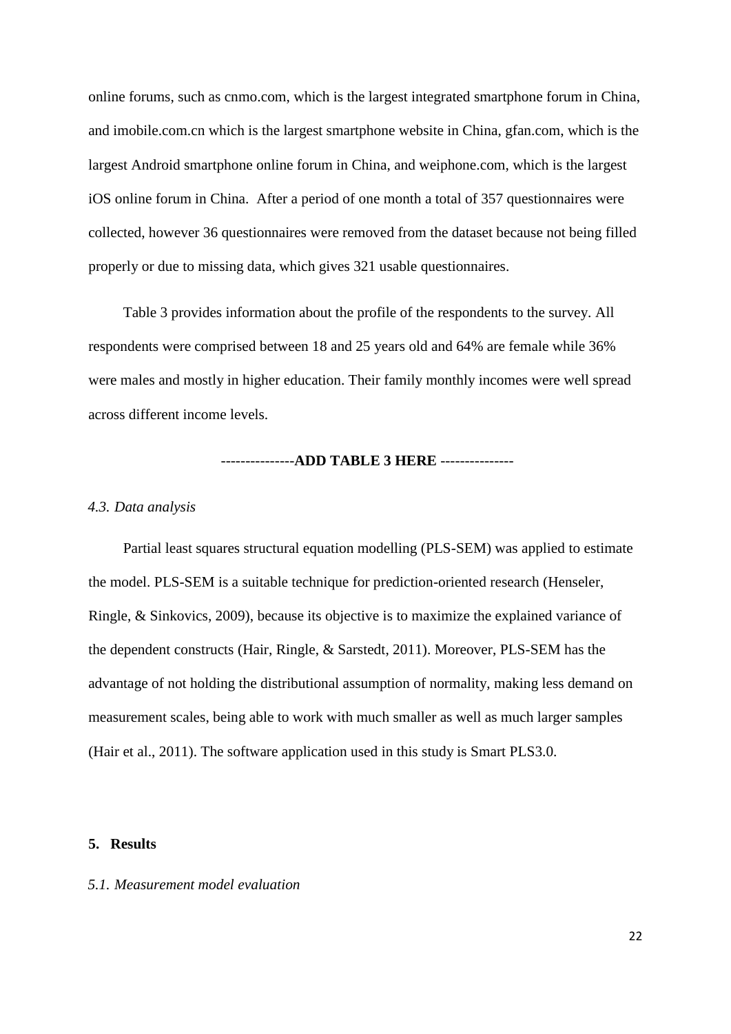online forums, such as cnmo.com, which is the largest integrated smartphone forum in China, and imobile.com.cn which is the largest smartphone website in China, gfan.com, which is the largest Android smartphone online forum in China, and weiphone.com, which is the largest iOS online forum in China. After a period of one month a total of 357 questionnaires were collected, however 36 questionnaires were removed from the dataset because not being filled properly or due to missing data, which gives 321 usable questionnaires.

Table 3 provides information about the profile of the respondents to the survey. All respondents were comprised between 18 and 25 years old and 64% are female while 36% were males and mostly in higher education. Their family monthly incomes were well spread across different income levels.

#### ---------------**ADD TABLE 3 HERE** ---------------

#### *4.3. Data analysis*

Partial least squares structural equation modelling (PLS-SEM) was applied to estimate the model. PLS-SEM is a suitable technique for prediction-oriented research (Henseler, Ringle, & Sinkovics, 2009), because its objective is to maximize the explained variance of the dependent constructs (Hair, Ringle, & Sarstedt, 2011). Moreover, PLS-SEM has the advantage of not holding the distributional assumption of normality, making less demand on measurement scales, being able to work with much smaller as well as much larger samples (Hair et al., 2011). The software application used in this study is Smart PLS3.0.

#### **5. Results**

## *5.1. Measurement model evaluation*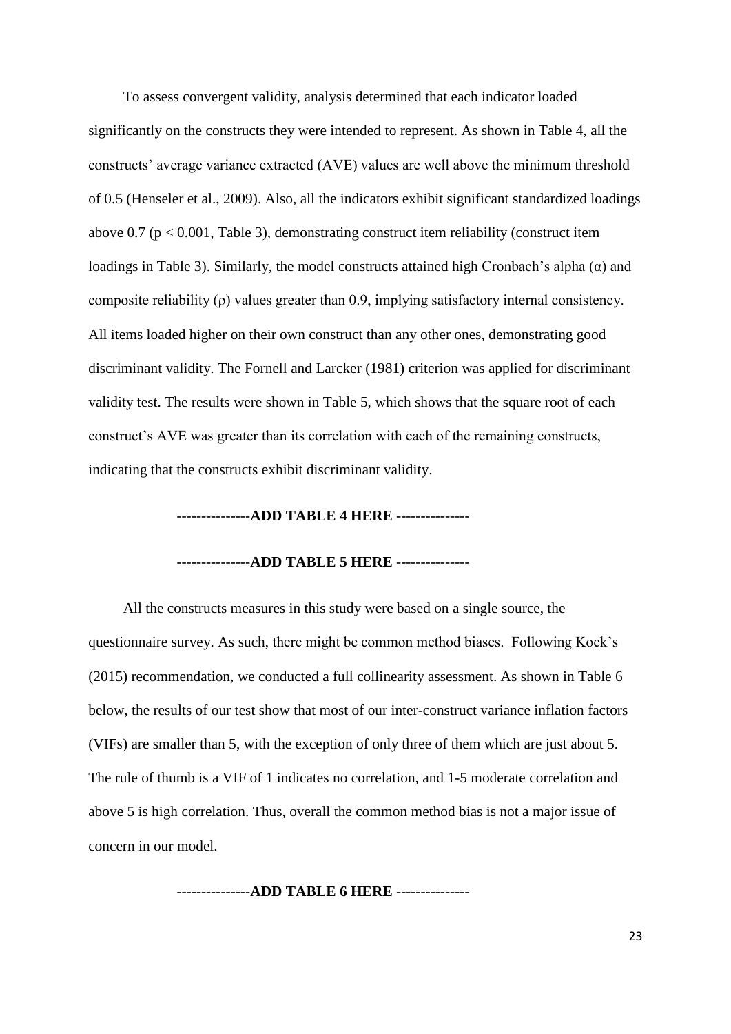To assess convergent validity, analysis determined that each indicator loaded significantly on the constructs they were intended to represent. As shown in Table 4, all the constructs' average variance extracted (AVE) values are well above the minimum threshold of 0.5 (Henseler et al., 2009). Also, all the indicators exhibit significant standardized loadings above 0.7 ( $p < 0.001$ , Table 3), demonstrating construct item reliability (construct item loadings in Table 3). Similarly, the model constructs attained high Cronbach's alpha  $(\alpha)$  and composite reliability (ρ) values greater than 0.9, implying satisfactory internal consistency. All items loaded higher on their own construct than any other ones, demonstrating good discriminant validity. The Fornell and Larcker (1981) criterion was applied for discriminant validity test. The results were shown in Table 5, which shows that the square root of each construct's AVE was greater than its correlation with each of the remaining constructs, indicating that the constructs exhibit discriminant validity.

#### ---------------**ADD TABLE 4 HERE** ---------------

#### ---------------**ADD TABLE 5 HERE** ---------------

All the constructs measures in this study were based on a single source, the questionnaire survey. As such, there might be common method biases. Following Kock's (2015) recommendation, we conducted a full collinearity assessment. As shown in Table 6 below, the results of our test show that most of our inter-construct variance inflation factors (VIFs) are smaller than 5, with the exception of only three of them which are just about 5. The rule of thumb is a VIF of 1 indicates no correlation, and 1-5 moderate correlation and above 5 is high correlation. Thus, overall the common method bias is not a major issue of concern in our model.

---------------**ADD TABLE 6 HERE** ---------------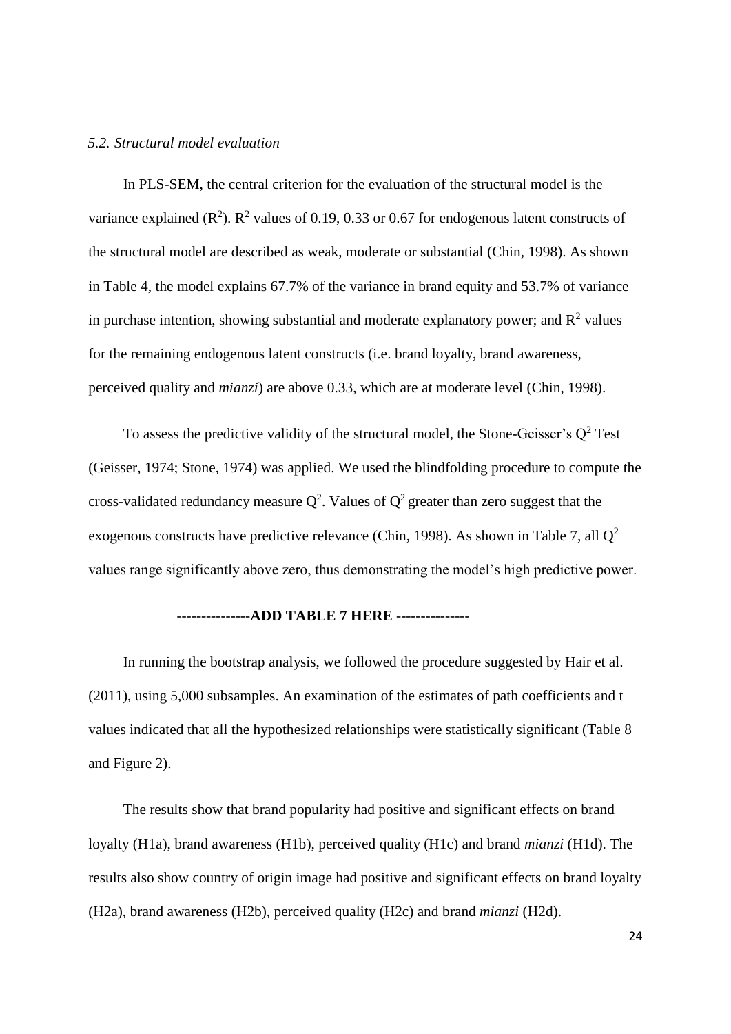## *5.2. Structural model evaluation*

In PLS-SEM, the central criterion for the evaluation of the structural model is the variance explained ( $\mathbb{R}^2$ ).  $\mathbb{R}^2$  values of 0.19, 0.33 or 0.67 for endogenous latent constructs of the structural model are described as weak, moderate or substantial (Chin, 1998). As shown in Table 4, the model explains 67.7% of the variance in brand equity and 53.7% of variance in purchase intention, showing substantial and moderate explanatory power; and  $\mathbb{R}^2$  values for the remaining endogenous latent constructs (i.e. brand loyalty, brand awareness, perceived quality and *mianzi*) are above 0.33, which are at moderate level (Chin, 1998).

To assess the predictive validity of the structural model, the Stone-Geisser's  $Q^2$  Test (Geisser, 1974; Stone, 1974) was applied. We used the blindfolding procedure to compute the cross-validated redundancy measure  $Q^2$ . Values of  $Q^2$  greater than zero suggest that the exogenous constructs have predictive relevance (Chin, 1998). As shown in Table 7, all  $Q^2$ values range significantly above zero, thus demonstrating the model's high predictive power.

### ---------------**ADD TABLE 7 HERE** ---------------

In running the bootstrap analysis, we followed the procedure suggested by Hair et al. (2011), using 5,000 subsamples. An examination of the estimates of path coefficients and t values indicated that all the hypothesized relationships were statistically significant (Table 8 and Figure 2).

The results show that brand popularity had positive and significant effects on brand loyalty (H1a), brand awareness (H1b), perceived quality (H1c) and brand *mianzi* (H1d). The results also show country of origin image had positive and significant effects on brand loyalty (H2a), brand awareness (H2b), perceived quality (H2c) and brand *mianzi* (H2d).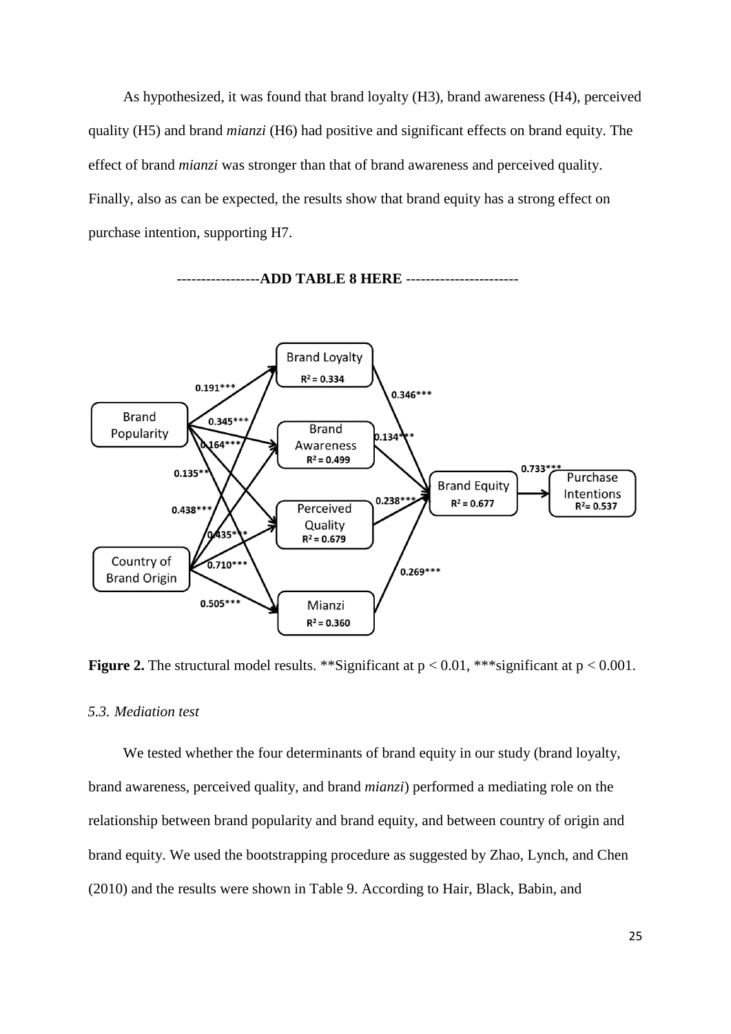As hypothesized, it was found that brand loyalty (H3), brand awareness (H4), perceived quality (H5) and brand *mianzi* (H6) had positive and significant effects on brand equity. The effect of brand *mianzi* was stronger than that of brand awareness and perceived quality. Finally, also as can be expected, the results show that brand equity has a strong effect on purchase intention, supporting H7.



-----------------**ADD TABLE 8 HERE** -----------------------

**Figure 2.** The structural model results. \*\*Significant at  $p < 0.01$ , \*\*\*significant at  $p < 0.001$ .

## *5.3. Mediation test*

We tested whether the four determinants of brand equity in our study (brand loyalty, brand awareness, perceived quality, and brand *mianzi*) performed a mediating role on the relationship between brand popularity and brand equity, and between country of origin and brand equity. We used the bootstrapping procedure as suggested by Zhao, Lynch, and Chen (2010) and the results were shown in Table 9. According to Hair, Black, Babin, and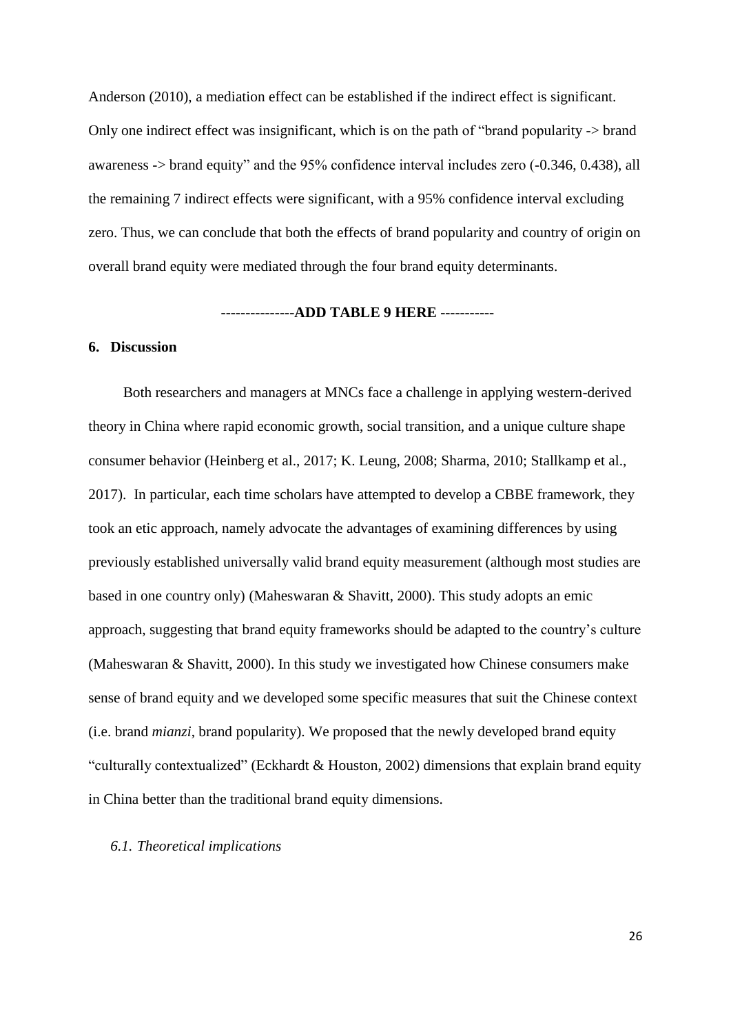Anderson (2010), a mediation effect can be established if the indirect effect is significant. Only one indirect effect was insignificant, which is on the path of "brand popularity -> brand awareness -> brand equity" and the 95% confidence interval includes zero (-0.346, 0.438), all the remaining 7 indirect effects were significant, with a 95% confidence interval excluding zero. Thus, we can conclude that both the effects of brand popularity and country of origin on overall brand equity were mediated through the four brand equity determinants.

#### ---------------**ADD TABLE 9 HERE** -----------

## **6. Discussion**

Both researchers and managers at MNCs face a challenge in applying western-derived theory in China where rapid economic growth, social transition, and a unique culture shape consumer behavior (Heinberg et al., 2017; K. Leung, 2008; Sharma, 2010; Stallkamp et al., 2017). In particular, each time scholars have attempted to develop a CBBE framework, they took an etic approach, namely advocate the advantages of examining differences by using previously established universally valid brand equity measurement (although most studies are based in one country only) (Maheswaran & Shavitt, 2000). This study adopts an emic approach, suggesting that brand equity frameworks should be adapted to the country's culture (Maheswaran & Shavitt, 2000). In this study we investigated how Chinese consumers make sense of brand equity and we developed some specific measures that suit the Chinese context (i.e. brand *mianzi*, brand popularity). We proposed that the newly developed brand equity "culturally contextualized" (Eckhardt & Houston, 2002) dimensions that explain brand equity in China better than the traditional brand equity dimensions.

#### *6.1. Theoretical implications*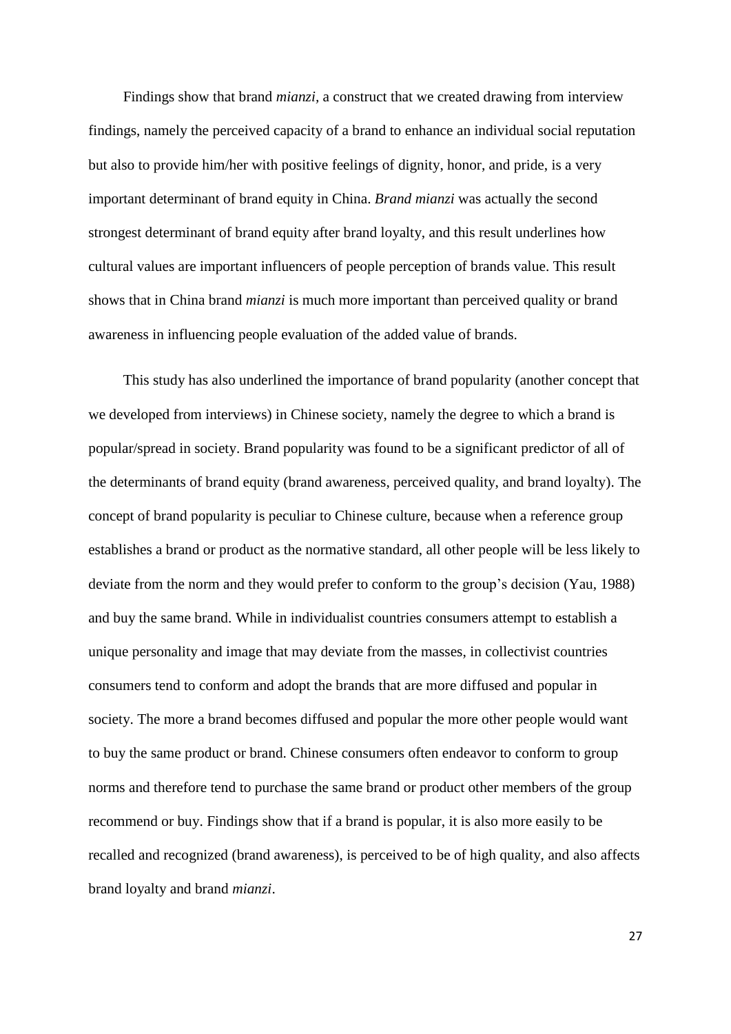Findings show that brand *mianzi,* a construct that we created drawing from interview findings, namely the perceived capacity of a brand to enhance an individual social reputation but also to provide him/her with positive feelings of dignity, honor, and pride, is a very important determinant of brand equity in China. *Brand mianzi* was actually the second strongest determinant of brand equity after brand loyalty, and this result underlines how cultural values are important influencers of people perception of brands value. This result shows that in China brand *mianzi* is much more important than perceived quality or brand awareness in influencing people evaluation of the added value of brands.

This study has also underlined the importance of brand popularity (another concept that we developed from interviews) in Chinese society, namely the degree to which a brand is popular/spread in society. Brand popularity was found to be a significant predictor of all of the determinants of brand equity (brand awareness, perceived quality, and brand loyalty). The concept of brand popularity is peculiar to Chinese culture, because when a reference group establishes a brand or product as the normative standard, all other people will be less likely to deviate from the norm and they would prefer to conform to the group's decision (Yau, 1988) and buy the same brand. While in individualist countries consumers attempt to establish a unique personality and image that may deviate from the masses, in collectivist countries consumers tend to conform and adopt the brands that are more diffused and popular in society. The more a brand becomes diffused and popular the more other people would want to buy the same product or brand. Chinese consumers often endeavor to conform to group norms and therefore tend to purchase the same brand or product other members of the group recommend or buy. Findings show that if a brand is popular, it is also more easily to be recalled and recognized (brand awareness), is perceived to be of high quality, and also affects brand loyalty and brand *mianzi*.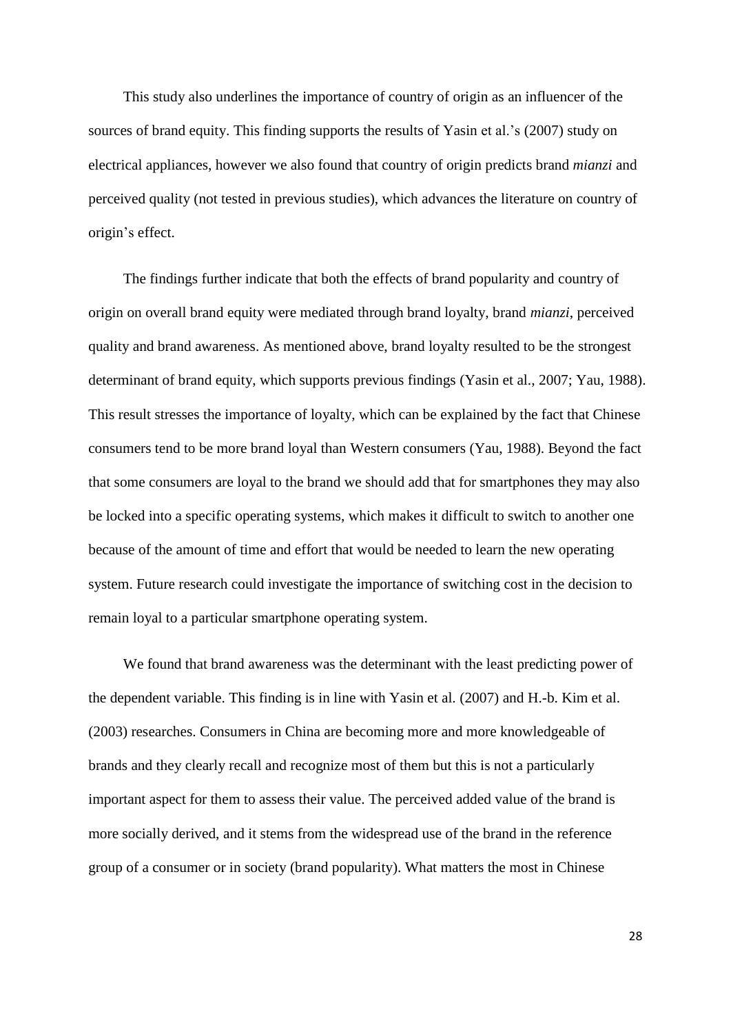This study also underlines the importance of country of origin as an influencer of the sources of brand equity. This finding supports the results of Yasin et al.'s (2007) study on electrical appliances, however we also found that country of origin predicts brand *mianzi* and perceived quality (not tested in previous studies), which advances the literature on country of origin's effect.

The findings further indicate that both the effects of brand popularity and country of origin on overall brand equity were mediated through brand loyalty, brand *mianzi*, perceived quality and brand awareness. As mentioned above, brand loyalty resulted to be the strongest determinant of brand equity, which supports previous findings (Yasin et al., 2007; Yau, 1988). This result stresses the importance of loyalty, which can be explained by the fact that Chinese consumers tend to be more brand loyal than Western consumers (Yau, 1988). Beyond the fact that some consumers are loyal to the brand we should add that for smartphones they may also be locked into a specific operating systems, which makes it difficult to switch to another one because of the amount of time and effort that would be needed to learn the new operating system. Future research could investigate the importance of switching cost in the decision to remain loyal to a particular smartphone operating system.

We found that brand awareness was the determinant with the least predicting power of the dependent variable. This finding is in line with Yasin et al. (2007) and H.-b. Kim et al. (2003) researches. Consumers in China are becoming more and more knowledgeable of brands and they clearly recall and recognize most of them but this is not a particularly important aspect for them to assess their value. The perceived added value of the brand is more socially derived, and it stems from the widespread use of the brand in the reference group of a consumer or in society (brand popularity). What matters the most in Chinese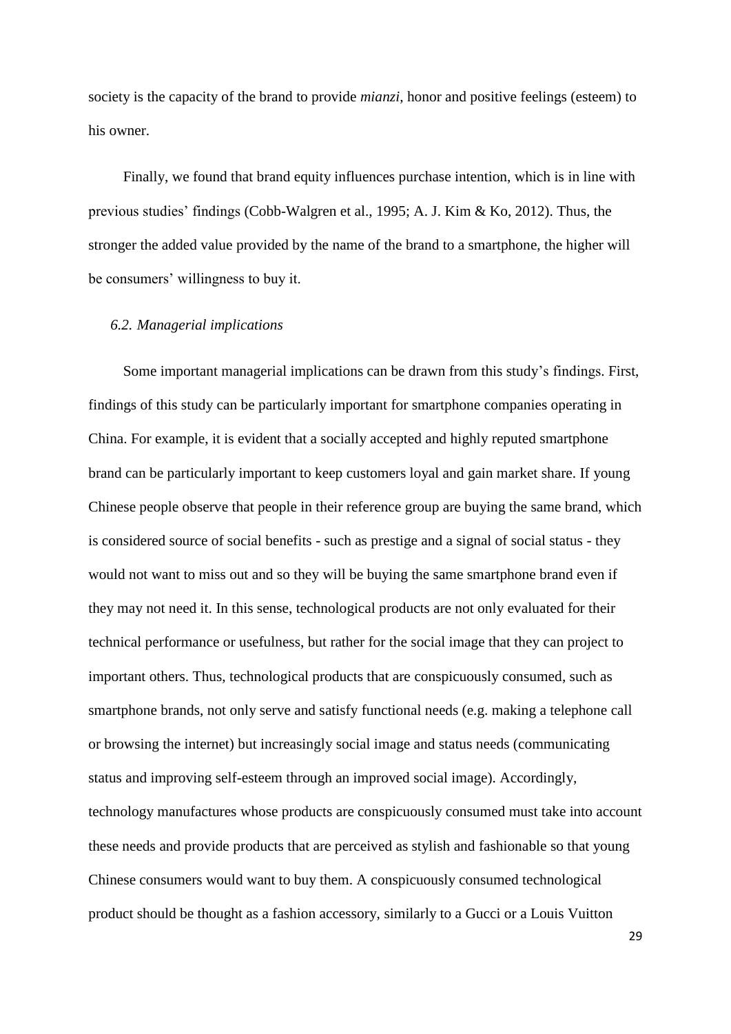society is the capacity of the brand to provide *mianzi*, honor and positive feelings (esteem) to his owner.

Finally, we found that brand equity influences purchase intention, which is in line with previous studies' findings (Cobb-Walgren et al., 1995; A. J. Kim & Ko, 2012). Thus, the stronger the added value provided by the name of the brand to a smartphone, the higher will be consumers' willingness to buy it.

### *6.2. Managerial implications*

Some important managerial implications can be drawn from this study's findings. First, findings of this study can be particularly important for smartphone companies operating in China. For example, it is evident that a socially accepted and highly reputed smartphone brand can be particularly important to keep customers loyal and gain market share. If young Chinese people observe that people in their reference group are buying the same brand, which is considered source of social benefits - such as prestige and a signal of social status - they would not want to miss out and so they will be buying the same smartphone brand even if they may not need it. In this sense, technological products are not only evaluated for their technical performance or usefulness, but rather for the social image that they can project to important others. Thus, technological products that are conspicuously consumed, such as smartphone brands, not only serve and satisfy functional needs (e.g. making a telephone call or browsing the internet) but increasingly social image and status needs (communicating status and improving self-esteem through an improved social image). Accordingly, technology manufactures whose products are conspicuously consumed must take into account these needs and provide products that are perceived as stylish and fashionable so that young Chinese consumers would want to buy them. A conspicuously consumed technological product should be thought as a fashion accessory, similarly to a Gucci or a Louis Vuitton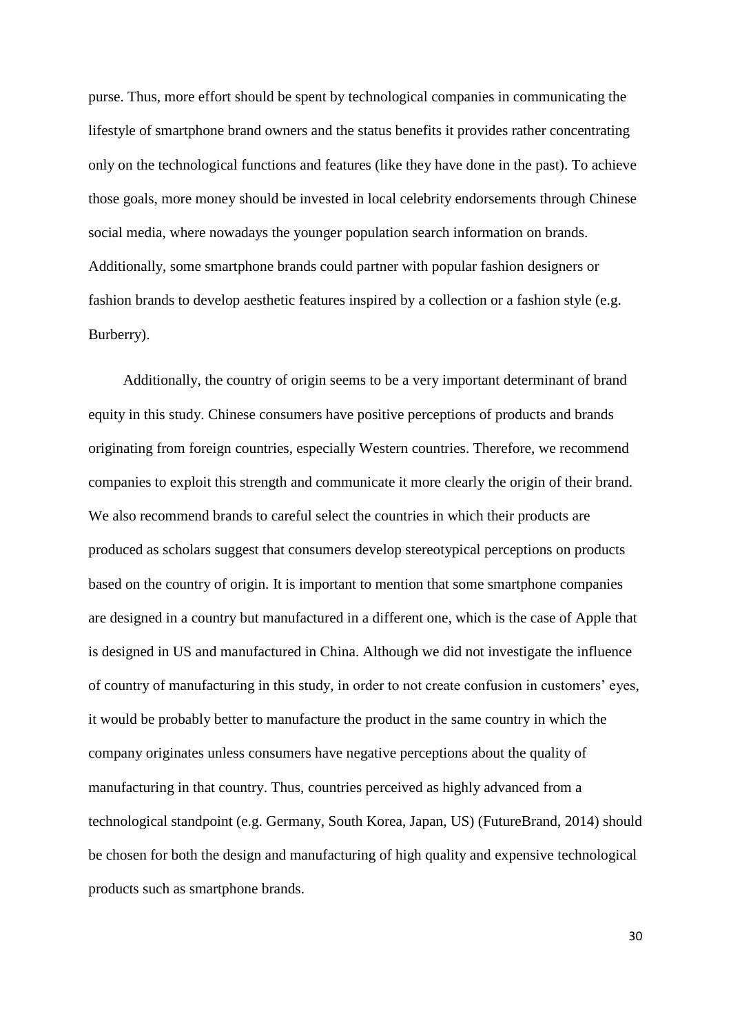purse. Thus, more effort should be spent by technological companies in communicating the lifestyle of smartphone brand owners and the status benefits it provides rather concentrating only on the technological functions and features (like they have done in the past). To achieve those goals, more money should be invested in local celebrity endorsements through Chinese social media, where nowadays the younger population search information on brands. Additionally, some smartphone brands could partner with popular fashion designers or fashion brands to develop aesthetic features inspired by a collection or a fashion style (e.g. Burberry).

Additionally, the country of origin seems to be a very important determinant of brand equity in this study. Chinese consumers have positive perceptions of products and brands originating from foreign countries, especially Western countries. Therefore, we recommend companies to exploit this strength and communicate it more clearly the origin of their brand. We also recommend brands to careful select the countries in which their products are produced as scholars suggest that consumers develop stereotypical perceptions on products based on the country of origin. It is important to mention that some smartphone companies are designed in a country but manufactured in a different one, which is the case of Apple that is designed in US and manufactured in China. Although we did not investigate the influence of country of manufacturing in this study, in order to not create confusion in customers' eyes, it would be probably better to manufacture the product in the same country in which the company originates unless consumers have negative perceptions about the quality of manufacturing in that country. Thus, countries perceived as highly advanced from a technological standpoint (e.g. Germany, South Korea, Japan, US) (FutureBrand, 2014) should be chosen for both the design and manufacturing of high quality and expensive technological products such as smartphone brands.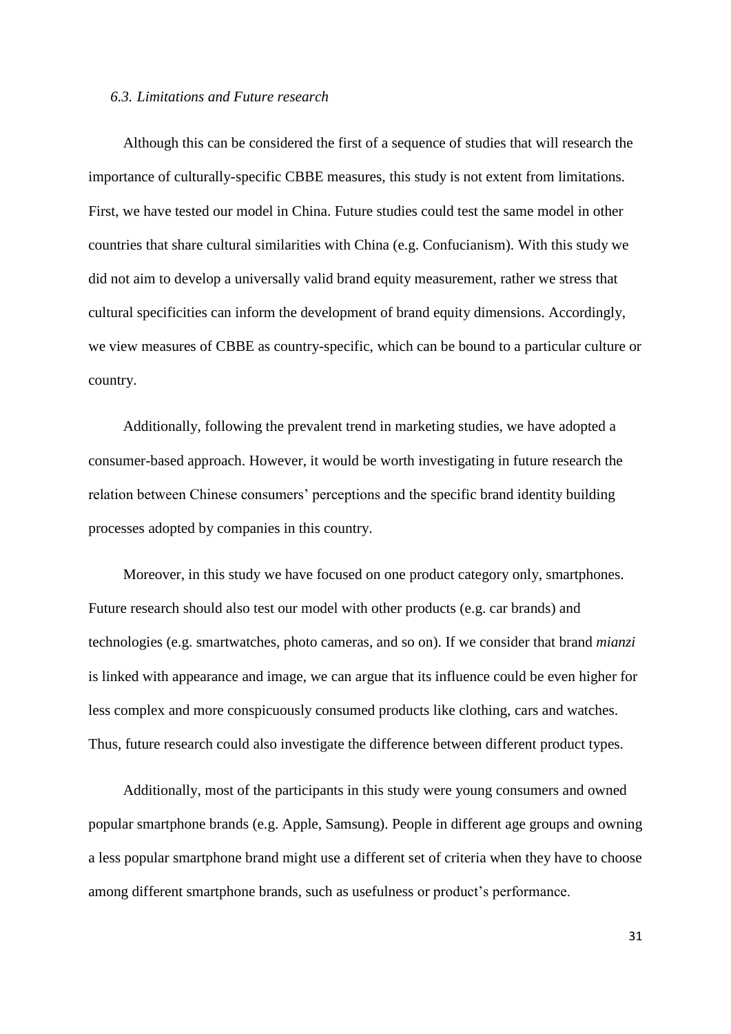#### *6.3. Limitations and Future research*

Although this can be considered the first of a sequence of studies that will research the importance of culturally-specific CBBE measures, this study is not extent from limitations. First, we have tested our model in China. Future studies could test the same model in other countries that share cultural similarities with China (e.g. Confucianism). With this study we did not aim to develop a universally valid brand equity measurement, rather we stress that cultural specificities can inform the development of brand equity dimensions. Accordingly, we view measures of CBBE as country-specific, which can be bound to a particular culture or country.

Additionally, following the prevalent trend in marketing studies, we have adopted a consumer-based approach. However, it would be worth investigating in future research the relation between Chinese consumers' perceptions and the specific brand identity building processes adopted by companies in this country.

Moreover, in this study we have focused on one product category only, smartphones. Future research should also test our model with other products (e.g. car brands) and technologies (e.g. smartwatches, photo cameras, and so on). If we consider that brand *mianzi* is linked with appearance and image, we can argue that its influence could be even higher for less complex and more conspicuously consumed products like clothing, cars and watches. Thus, future research could also investigate the difference between different product types.

Additionally, most of the participants in this study were young consumers and owned popular smartphone brands (e.g. Apple, Samsung). People in different age groups and owning a less popular smartphone brand might use a different set of criteria when they have to choose among different smartphone brands, such as usefulness or product's performance.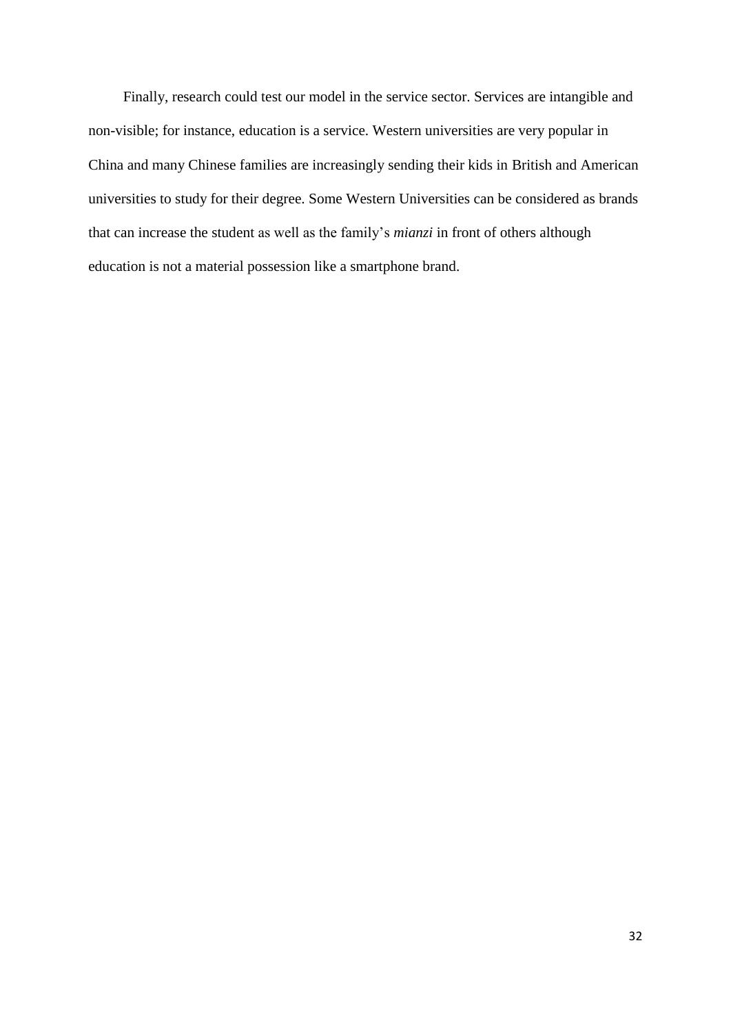Finally, research could test our model in the service sector. Services are intangible and non-visible; for instance, education is a service. Western universities are very popular in China and many Chinese families are increasingly sending their kids in British and American universities to study for their degree. Some Western Universities can be considered as brands that can increase the student as well as the family's *mianzi* in front of others although education is not a material possession like a smartphone brand.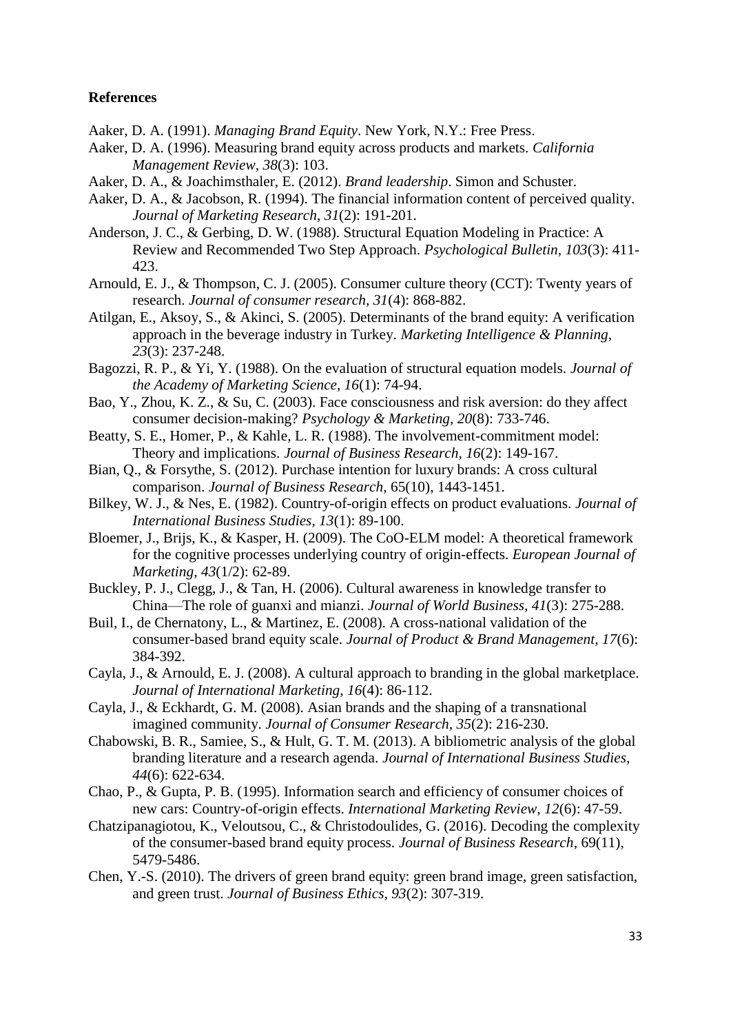## **References**

- Aaker, D. A. (1991). *Managing Brand Equity*. New York, N.Y.: Free Press.
- Aaker, D. A. (1996). Measuring brand equity across products and markets. *California Management Review, 38*(3): 103.
- Aaker, D. A., & Joachimsthaler, E. (2012). *Brand leadership*. Simon and Schuster.
- Aaker, D. A., & Jacobson, R. (1994). The financial information content of perceived quality. *Journal of Marketing Research*, *31*(2): 191-201.
- Anderson, J. C., & Gerbing, D. W. (1988). Structural Equation Modeling in Practice: A Review and Recommended Two Step Approach. *Psychological Bulletin, 103*(3): 411- 423.
- Arnould, E. J., & Thompson, C. J. (2005). Consumer culture theory (CCT): Twenty years of research. *Journal of consumer research, 31*(4): 868-882.
- Atilgan, E., Aksoy, S., & Akinci, S. (2005). Determinants of the brand equity: A verification approach in the beverage industry in Turkey. *Marketing Intelligence & Planning, 23*(3): 237-248.
- Bagozzi, R. P., & Yi, Y. (1988). On the evaluation of structural equation models. *Journal of the Academy of Marketing Science, 16*(1): 74-94.
- Bao, Y., Zhou, K. Z., & Su, C. (2003). Face consciousness and risk aversion: do they affect consumer decision-making? *Psychology & Marketing, 20*(8): 733-746.
- Beatty, S. E., Homer, P., & Kahle, L. R. (1988). The involvement-commitment model: Theory and implications. *Journal of Business Research, 16*(2): 149-167.
- Bian, Q., & Forsythe, S. (2012). Purchase intention for luxury brands: A cross cultural comparison. *Journal of Business Research,* 65(10), 1443-1451.
- Bilkey, W. J., & Nes, E. (1982). Country-of-origin effects on product evaluations. *Journal of International Business Studies, 13*(1): 89-100.
- Bloemer, J., Brijs, K., & Kasper, H. (2009). The CoO-ELM model: A theoretical framework for the cognitive processes underlying country of origin-effects. *European Journal of Marketing, 43*(1/2): 62-89.
- Buckley, P. J., Clegg, J., & Tan, H. (2006). Cultural awareness in knowledge transfer to China—The role of guanxi and mianzi. *Journal of World Business, 41*(3): 275-288.
- Buil, I., de Chernatony, L., & Martinez, E. (2008). A cross-national validation of the consumer-based brand equity scale. *Journal of Product & Brand Management, 17*(6): 384-392.
- Cayla, J., & Arnould, E. J. (2008). A cultural approach to branding in the global marketplace. *Journal of International Marketing, 16*(4): 86-112.
- Cayla, J., & Eckhardt, G. M. (2008). Asian brands and the shaping of a transnational imagined community. *Journal of Consumer Research, 35*(2): 216-230.
- Chabowski, B. R., Samiee, S., & Hult, G. T. M. (2013). A bibliometric analysis of the global branding literature and a research agenda. *Journal of International Business Studies, 44*(6): 622-634.
- Chao, P., & Gupta, P. B. (1995). Information search and efficiency of consumer choices of new cars: Country-of-origin effects. *International Marketing Review, 12*(6): 47-59.
- Chatzipanagiotou, K., Veloutsou, C., & Christodoulides, G. (2016). Decoding the complexity of the consumer-based brand equity process. *Journal of Business Research*, 69(11), 5479-5486.
- Chen, Y.-S. (2010). The drivers of green brand equity: green brand image, green satisfaction, and green trust. *Journal of Business Ethics, 93*(2): 307-319.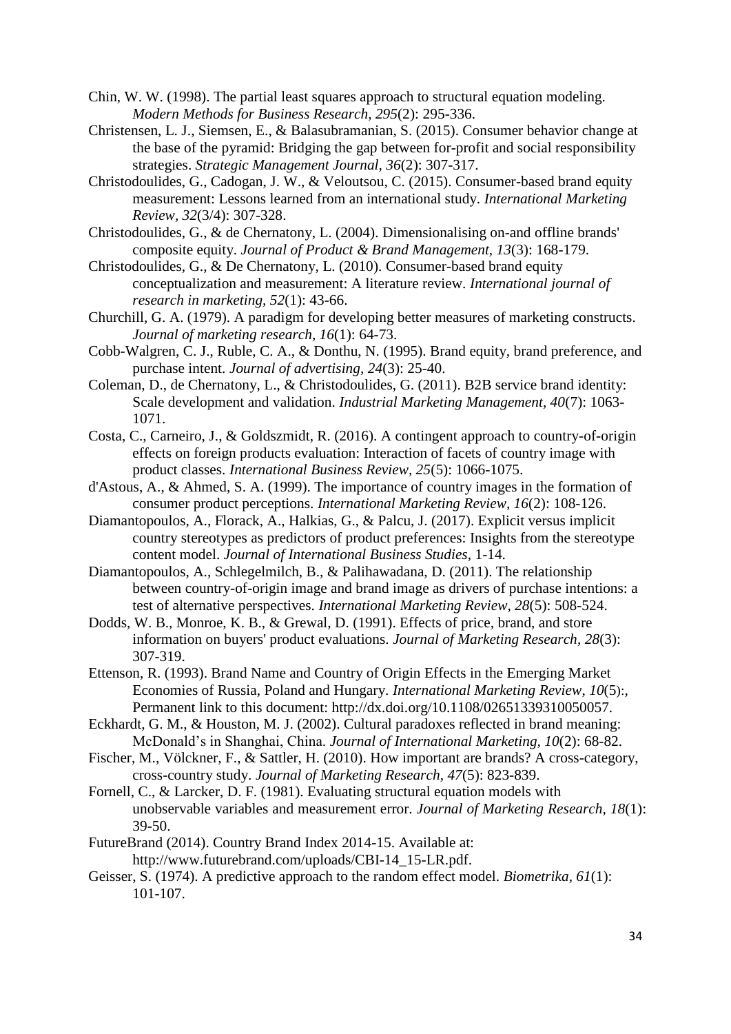- Chin, W. W. (1998). The partial least squares approach to structural equation modeling. *Modern Methods for Business Research, 295*(2): 295-336.
- Christensen, L. J., Siemsen, E., & Balasubramanian, S. (2015). Consumer behavior change at the base of the pyramid: Bridging the gap between for-profit and social responsibility strategies. *Strategic Management Journal, 36*(2): 307-317.
- Christodoulides, G., Cadogan, J. W., & Veloutsou, C. (2015). Consumer-based brand equity measurement: Lessons learned from an international study. *International Marketing Review, 32*(3/4): 307-328.
- Christodoulides, G., & de Chernatony, L. (2004). Dimensionalising on-and offline brands' composite equity. *Journal of Product & Brand Management, 13*(3): 168-179.
- Christodoulides, G., & De Chernatony, L. (2010). Consumer-based brand equity conceptualization and measurement: A literature review. *International journal of research in marketing, 52*(1): 43-66.
- Churchill, G. A. (1979). A paradigm for developing better measures of marketing constructs. *Journal of marketing research, 16*(1): 64-73.
- Cobb-Walgren, C. J., Ruble, C. A., & Donthu, N. (1995). Brand equity, brand preference, and purchase intent. *Journal of advertising, 24*(3): 25-40.
- Coleman, D., de Chernatony, L., & Christodoulides, G. (2011). B2B service brand identity: Scale development and validation. *Industrial Marketing Management, 40*(7): 1063- 1071.
- Costa, C., Carneiro, J., & Goldszmidt, R. (2016). A contingent approach to country-of-origin effects on foreign products evaluation: Interaction of facets of country image with product classes. *International Business Review, 25*(5): 1066-1075.
- d'Astous, A., & Ahmed, S. A. (1999). The importance of country images in the formation of consumer product perceptions. *International Marketing Review, 16*(2): 108-126.
- Diamantopoulos, A., Florack, A., Halkias, G., & Palcu, J. (2017). Explicit versus implicit country stereotypes as predictors of product preferences: Insights from the stereotype content model. *Journal of International Business Studies*, 1-14.
- Diamantopoulos, A., Schlegelmilch, B., & Palihawadana, D. (2011). The relationship between country-of-origin image and brand image as drivers of purchase intentions: a test of alternative perspectives. *International Marketing Review, 28*(5): 508-524.
- Dodds, W. B., Monroe, K. B., & Grewal, D. (1991). Effects of price, brand, and store information on buyers' product evaluations. *Journal of Marketing Research, 28*(3): 307-319.
- Ettenson, R. (1993). Brand Name and Country of Origin Effects in the Emerging Market Economies of Russia, Poland and Hungary. *International Marketing Review*, *10*(5):, Permanent link to this document: http://dx.doi.org/10.1108/02651339310050057.
- Eckhardt, G. M., & Houston, M. J. (2002). Cultural paradoxes reflected in brand meaning: McDonald's in Shanghai, China. *Journal of International Marketing, 10*(2): 68-82.
- Fischer, M., Völckner, F., & Sattler, H. (2010). How important are brands? A cross-category, cross-country study. *Journal of Marketing Research, 47*(5): 823-839.
- Fornell, C., & Larcker, D. F. (1981). Evaluating structural equation models with unobservable variables and measurement error. *Journal of Marketing Research, 18*(1): 39-50.
- FutureBrand (2014). Country Brand Index 2014-15. Available at: http://www.futurebrand.com/uploads/CBI-14\_15-LR.pdf.
- Geisser, S. (1974). A predictive approach to the random effect model. *Biometrika, 61*(1): 101-107.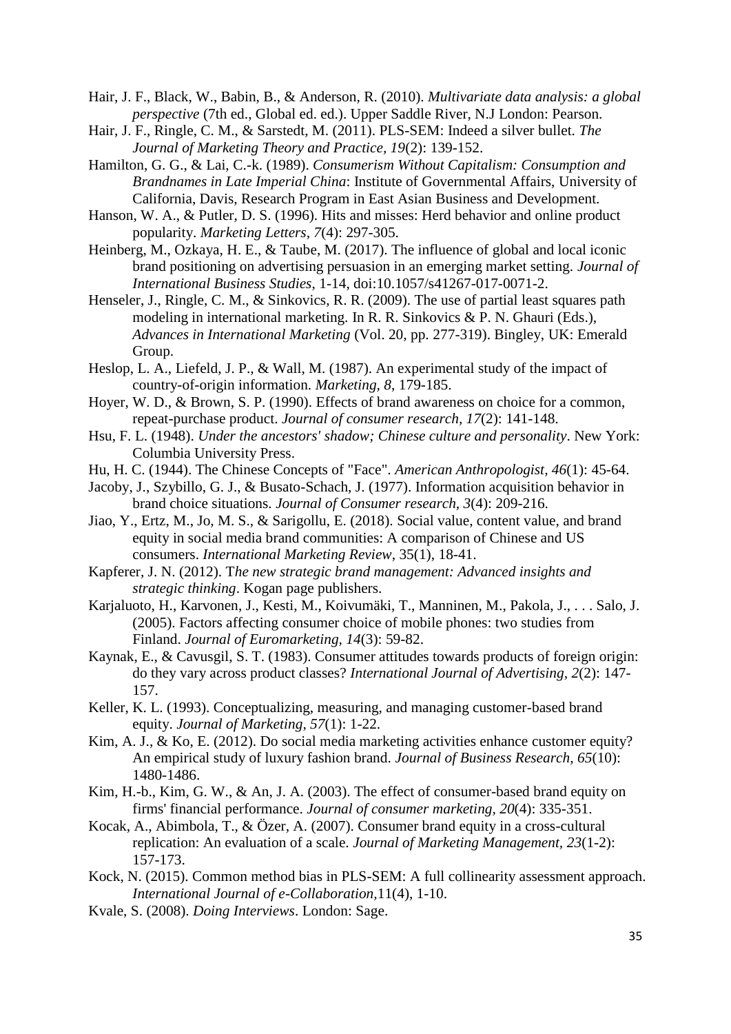Hair, J. F., Black, W., Babin, B., & Anderson, R. (2010). *Multivariate data analysis: a global perspective* (7th ed., Global ed. ed.). Upper Saddle River, N.J London: Pearson.

- Hair, J. F., Ringle, C. M., & Sarstedt, M. (2011). PLS-SEM: Indeed a silver bullet. *The Journal of Marketing Theory and Practice, 19*(2): 139-152.
- Hamilton, G. G., & Lai, C.-k. (1989). *Consumerism Without Capitalism: Consumption and Brandnames in Late Imperial China*: Institute of Governmental Affairs, University of California, Davis, Research Program in East Asian Business and Development.
- Hanson, W. A., & Putler, D. S. (1996). Hits and misses: Herd behavior and online product popularity. *Marketing Letters, 7*(4): 297-305.
- Heinberg, M., Ozkaya, H. E., & Taube, M. (2017). The influence of global and local iconic brand positioning on advertising persuasion in an emerging market setting. *Journal of International Business Studies*, 1-14, doi:10.1057/s41267-017-0071-2.
- Henseler, J., Ringle, C. M., & Sinkovics, R. R. (2009). The use of partial least squares path modeling in international marketing. In R. R. Sinkovics & P. N. Ghauri (Eds.), *Advances in International Marketing* (Vol. 20, pp. 277-319). Bingley, UK: Emerald Group.
- Heslop, L. A., Liefeld, J. P., & Wall, M. (1987). An experimental study of the impact of country-of-origin information. *Marketing, 8*, 179-185.
- Hoyer, W. D., & Brown, S. P. (1990). Effects of brand awareness on choice for a common, repeat-purchase product. *Journal of consumer research, 17*(2): 141-148.
- Hsu, F. L. (1948). *Under the ancestors' shadow; Chinese culture and personality*. New York: Columbia University Press.
- Hu, H. C. (1944). The Chinese Concepts of "Face". *American Anthropologist, 46*(1): 45-64.
- Jacoby, J., Szybillo, G. J., & Busato-Schach, J. (1977). Information acquisition behavior in brand choice situations. *Journal of Consumer research, 3*(4): 209-216.
- Jiao, Y., Ertz, M., Jo, M. S., & Sarigollu, E. (2018). Social value, content value, and brand equity in social media brand communities: A comparison of Chinese and US consumers. *International Marketing Review*, 35(1), 18-41.
- Kapferer, J. N. (2012). T*he new strategic brand management: Advanced insights and strategic thinking*. Kogan page publishers.
- Karjaluoto, H., Karvonen, J., Kesti, M., Koivumäki, T., Manninen, M., Pakola, J., . . . Salo, J. (2005). Factors affecting consumer choice of mobile phones: two studies from Finland. *Journal of Euromarketing, 14*(3): 59-82.
- Kaynak, E., & Cavusgil, S. T. (1983). Consumer attitudes towards products of foreign origin: do they vary across product classes? *International Journal of Advertising, 2*(2): 147- 157.
- Keller, K. L. (1993). Conceptualizing, measuring, and managing customer-based brand equity. *Journal of Marketing, 57*(1): 1-22.
- Kim, A. J., & Ko, E. (2012). Do social media marketing activities enhance customer equity? An empirical study of luxury fashion brand. *Journal of Business Research, 65*(10): 1480-1486.
- Kim, H.-b., Kim, G. W., & An, J. A. (2003). The effect of consumer-based brand equity on firms' financial performance. *Journal of consumer marketing, 20*(4): 335-351.
- Kocak, A., Abimbola, T., & Özer, A. (2007). Consumer brand equity in a cross-cultural replication: An evaluation of a scale. *Journal of Marketing Management, 23*(1-2): 157-173.
- Kock, N. (2015). Common method bias in PLS-SEM: A full collinearity assessment approach. *International Journal of e-Collaboration,*11(4), 1-10.
- Kvale, S. (2008). *Doing Interviews*. London: Sage.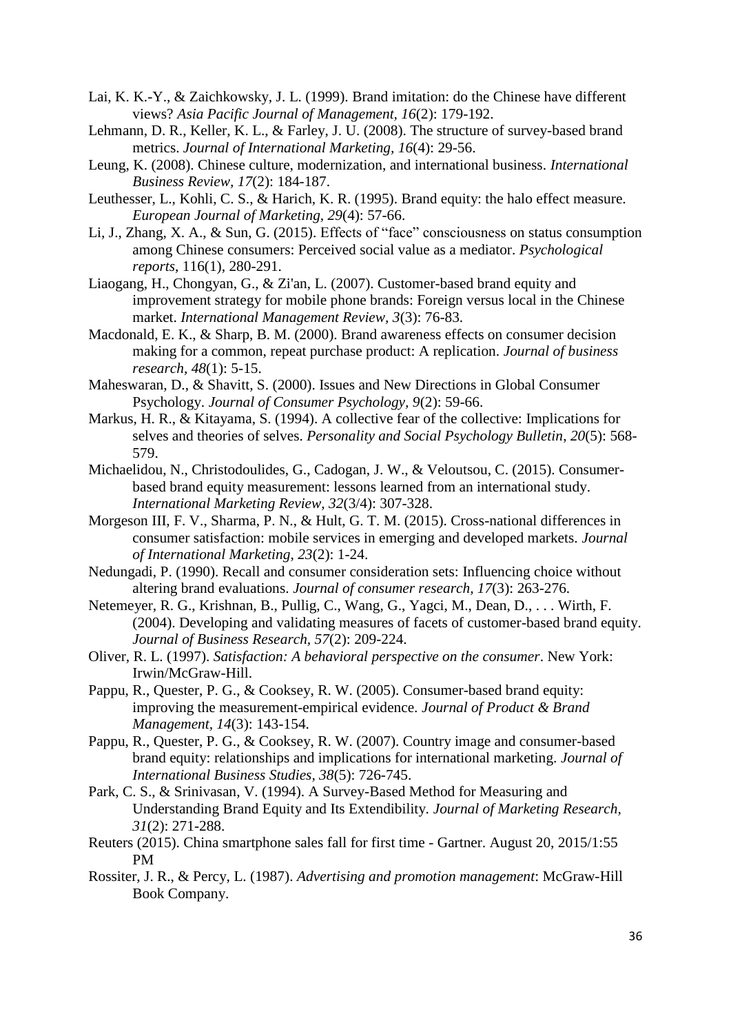- Lai, K. K.-Y., & Zaichkowsky, J. L. (1999). Brand imitation: do the Chinese have different views? *Asia Pacific Journal of Management, 16*(2): 179-192.
- Lehmann, D. R., Keller, K. L., & Farley, J. U. (2008). The structure of survey-based brand metrics. *Journal of International Marketing, 16*(4): 29-56.
- Leung, K. (2008). Chinese culture, modernization, and international business. *International Business Review, 17*(2): 184-187.
- Leuthesser, L., Kohli, C. S., & Harich, K. R. (1995). Brand equity: the halo effect measure. *European Journal of Marketing, 29*(4): 57-66.
- Li, J., Zhang, X. A., & Sun, G. (2015). Effects of "face" consciousness on status consumption among Chinese consumers: Perceived social value as a mediator. *Psychological reports*, 116(1), 280-291.
- Liaogang, H., Chongyan, G., & Zi'an, L. (2007). Customer-based brand equity and improvement strategy for mobile phone brands: Foreign versus local in the Chinese market. *International Management Review, 3*(3): 76-83.
- Macdonald, E. K., & Sharp, B. M. (2000). Brand awareness effects on consumer decision making for a common, repeat purchase product: A replication. *Journal of business research, 48*(1): 5-15.
- Maheswaran, D., & Shavitt, S. (2000). Issues and New Directions in Global Consumer Psychology. *Journal of Consumer Psychology, 9*(2): 59-66.
- Markus, H. R., & Kitayama, S. (1994). A collective fear of the collective: Implications for selves and theories of selves. *Personality and Social Psychology Bulletin*, *20*(5): 568- 579.
- Michaelidou, N., Christodoulides, G., Cadogan, J. W., & Veloutsou, C. (2015). Consumerbased brand equity measurement: lessons learned from an international study. *International Marketing Review, 32*(3/4): 307-328.
- Morgeson III, F. V., Sharma, P. N., & Hult, G. T. M. (2015). Cross-national differences in consumer satisfaction: mobile services in emerging and developed markets. *Journal of International Marketing, 23*(2): 1-24.
- Nedungadi, P. (1990). Recall and consumer consideration sets: Influencing choice without altering brand evaluations. *Journal of consumer research, 17*(3): 263-276.
- Netemeyer, R. G., Krishnan, B., Pullig, C., Wang, G., Yagci, M., Dean, D., . . . Wirth, F. (2004). Developing and validating measures of facets of customer-based brand equity. *Journal of Business Research, 57*(2): 209-224.
- Oliver, R. L. (1997). *Satisfaction: A behavioral perspective on the consumer*. New York: Irwin/McGraw-Hill.
- Pappu, R., Quester, P. G., & Cooksey, R. W. (2005). Consumer-based brand equity: improving the measurement-empirical evidence. *Journal of Product & Brand Management, 14*(3): 143-154.
- Pappu, R., Quester, P. G., & Cooksey, R. W. (2007). Country image and consumer-based brand equity: relationships and implications for international marketing. *Journal of International Business Studies, 38*(5): 726-745.
- Park, C. S., & Srinivasan, V. (1994). A Survey-Based Method for Measuring and Understanding Brand Equity and Its Extendibility. *Journal of Marketing Research, 31*(2): 271-288.
- Reuters (2015). China smartphone sales fall for first time Gartner. August 20, 2015/1:55 PM
- Rossiter, J. R., & Percy, L. (1987). *Advertising and promotion management*: McGraw-Hill Book Company.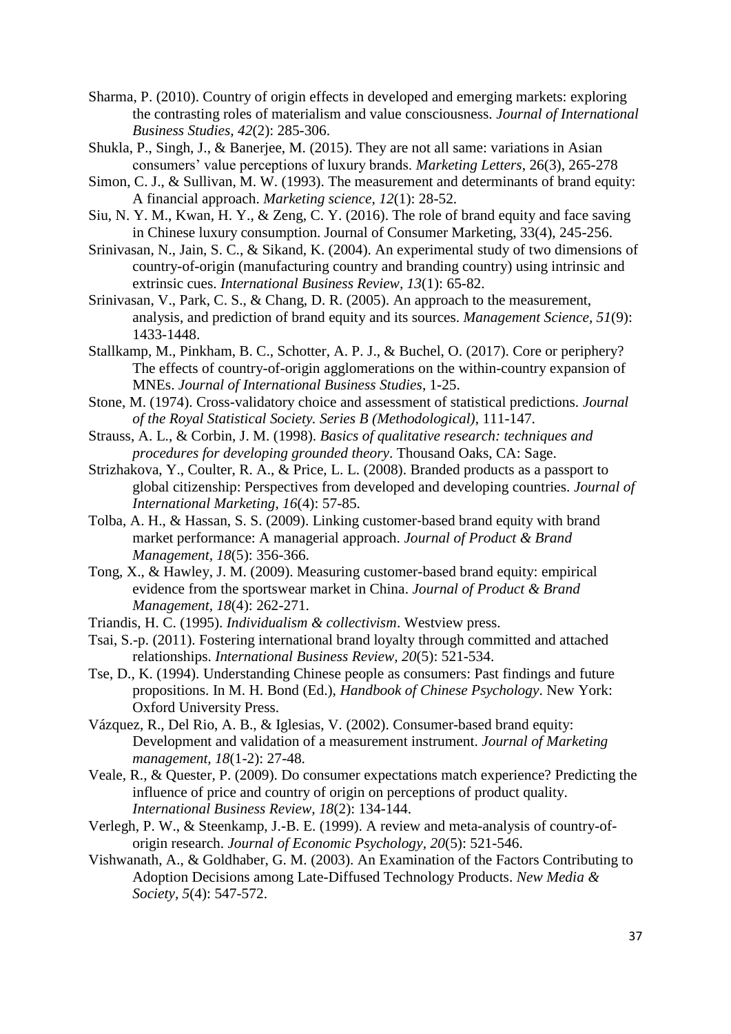- Sharma, P. (2010). Country of origin effects in developed and emerging markets: exploring the contrasting roles of materialism and value consciousness. *Journal of International Business Studies, 42*(2): 285-306.
- Shukla, P., Singh, J., & Banerjee, M. (2015). They are not all same: variations in Asian consumers' value perceptions of luxury brands. *Marketing Letters*, 26(3), 265-278
- Simon, C. J., & Sullivan, M. W. (1993). The measurement and determinants of brand equity: A financial approach. *Marketing science, 12*(1): 28-52.
- Siu, N. Y. M., Kwan, H. Y., & Zeng, C. Y. (2016). The role of brand equity and face saving in Chinese luxury consumption. Journal of Consumer Marketing, 33(4), 245-256.
- Srinivasan, N., Jain, S. C., & Sikand, K. (2004). An experimental study of two dimensions of country-of-origin (manufacturing country and branding country) using intrinsic and extrinsic cues. *International Business Review, 13*(1): 65-82.
- Srinivasan, V., Park, C. S., & Chang, D. R. (2005). An approach to the measurement, analysis, and prediction of brand equity and its sources. *Management Science, 51*(9): 1433-1448.
- Stallkamp, M., Pinkham, B. C., Schotter, A. P. J., & Buchel, O. (2017). Core or periphery? The effects of country-of-origin agglomerations on the within-country expansion of MNEs. *Journal of International Business Studies*, 1-25.
- Stone, M. (1974). Cross-validatory choice and assessment of statistical predictions. *Journal of the Royal Statistical Society. Series B (Methodological)*, 111-147.
- Strauss, A. L., & Corbin, J. M. (1998). *Basics of qualitative research: techniques and procedures for developing grounded theory*. Thousand Oaks, CA: Sage.
- Strizhakova, Y., Coulter, R. A., & Price, L. L. (2008). Branded products as a passport to global citizenship: Perspectives from developed and developing countries. *Journal of International Marketing, 16*(4): 57-85.
- Tolba, A. H., & Hassan, S. S. (2009). Linking customer‐based brand equity with brand market performance: A managerial approach. *Journal of Product & Brand Management, 18*(5): 356-366.
- Tong, X., & Hawley, J. M. (2009). Measuring customer-based brand equity: empirical evidence from the sportswear market in China. *Journal of Product & Brand Management, 18*(4): 262-271.
- Triandis, H. C. (1995). *Individualism & collectivism*. Westview press.
- Tsai, S.-p. (2011). Fostering international brand loyalty through committed and attached relationships. *International Business Review, 20*(5): 521-534.
- Tse, D., K. (1994). Understanding Chinese people as consumers: Past findings and future propositions. In M. H. Bond (Ed.), *Handbook of Chinese Psychology*. New York: Oxford University Press.
- Vázquez, R., Del Rio, A. B., & Iglesias, V. (2002). Consumer-based brand equity: Development and validation of a measurement instrument. *Journal of Marketing management, 18*(1-2): 27-48.
- Veale, R., & Quester, P. (2009). Do consumer expectations match experience? Predicting the influence of price and country of origin on perceptions of product quality. *International Business Review, 18*(2): 134-144.
- Verlegh, P. W., & Steenkamp, J.-B. E. (1999). A review and meta-analysis of country-oforigin research. *Journal of Economic Psychology, 20*(5): 521-546.
- Vishwanath, A., & Goldhaber, G. M. (2003). An Examination of the Factors Contributing to Adoption Decisions among Late-Diffused Technology Products. *New Media & Society, 5*(4): 547-572.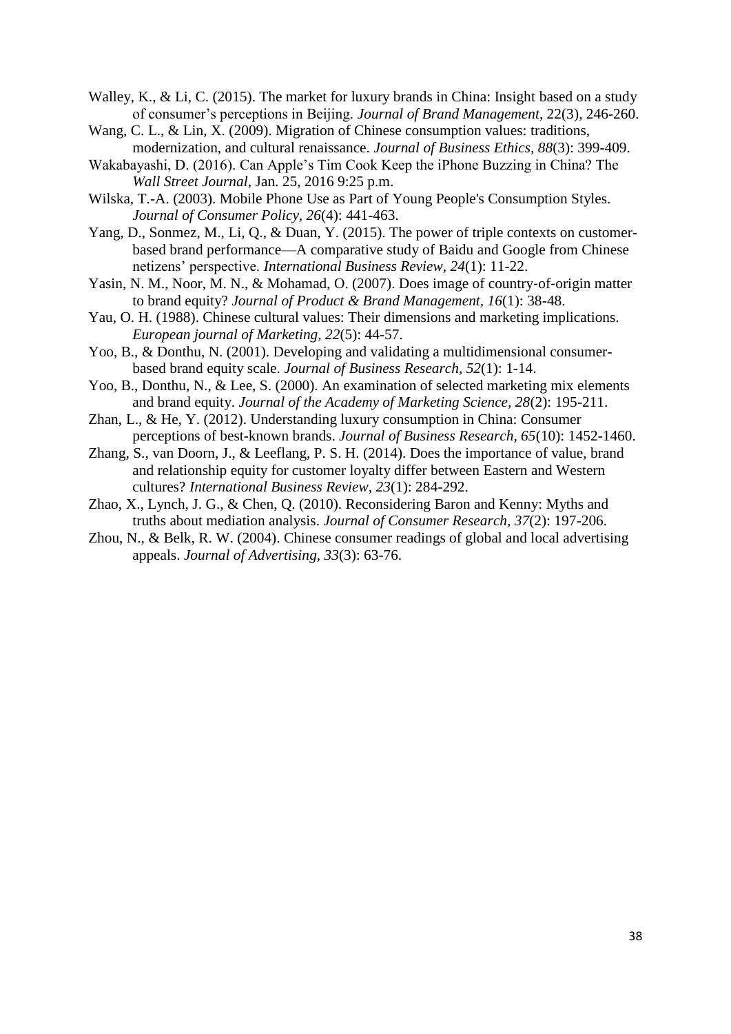Walley, K., & Li, C. (2015). The market for luxury brands in China: Insight based on a study of consumer's perceptions in Beijing. *Journal of Brand Management*, 22(3), 246-260.

- Wang, C. L., & Lin, X. (2009). Migration of Chinese consumption values: traditions, modernization, and cultural renaissance. *Journal of Business Ethics, 88*(3): 399-409.
- Wakabayashi, D. (2016). Can Apple's Tim Cook Keep the iPhone Buzzing in China? The *Wall Street Journal*, Jan. 25, 2016 9:25 p.m.
- Wilska, T.-A. (2003). Mobile Phone Use as Part of Young People's Consumption Styles. *Journal of Consumer Policy, 26*(4): 441-463.
- Yang, D., Sonmez, M., Li, Q., & Duan, Y. (2015). The power of triple contexts on customerbased brand performance—A comparative study of Baidu and Google from Chinese netizens' perspective. *International Business Review, 24*(1): 11-22.
- Yasin, N. M., Noor, M. N., & Mohamad, O. (2007). Does image of country-of-origin matter to brand equity? *Journal of Product & Brand Management, 16*(1): 38-48.
- Yau, O. H. (1988). Chinese cultural values: Their dimensions and marketing implications. *European journal of Marketing, 22*(5): 44-57.
- Yoo, B., & Donthu, N. (2001). Developing and validating a multidimensional consumerbased brand equity scale. *Journal of Business Research, 52*(1): 1-14.
- Yoo, B., Donthu, N., & Lee, S. (2000). An examination of selected marketing mix elements and brand equity. *Journal of the Academy of Marketing Science, 28*(2): 195-211.
- Zhan, L., & He, Y. (2012). Understanding luxury consumption in China: Consumer perceptions of best-known brands. *Journal of Business Research, 65*(10): 1452-1460.
- Zhang, S., van Doorn, J., & Leeflang, P. S. H. (2014). Does the importance of value, brand and relationship equity for customer loyalty differ between Eastern and Western cultures? *International Business Review, 23*(1): 284-292.
- Zhao, X., Lynch, J. G., & Chen, Q. (2010). Reconsidering Baron and Kenny: Myths and truths about mediation analysis. *Journal of Consumer Research, 37*(2): 197-206.
- Zhou, N., & Belk, R. W. (2004). Chinese consumer readings of global and local advertising appeals. *Journal of Advertising, 33*(3): 63-76.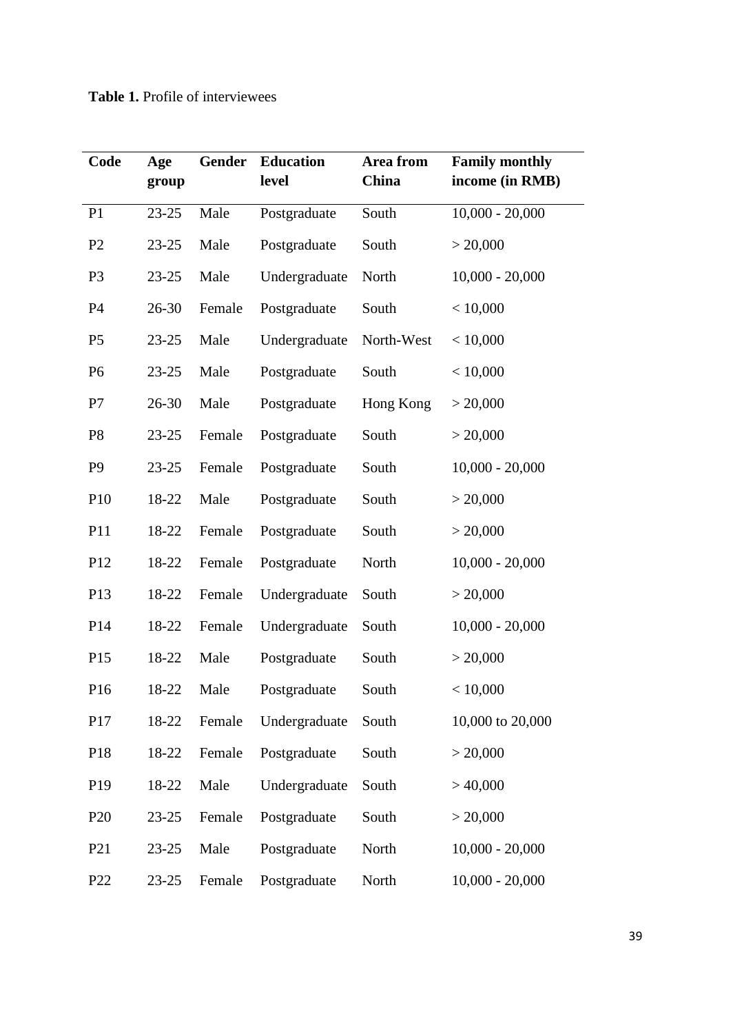| Code            | Age<br>group | <b>Gender</b> | <b>Education</b><br>level | Area from<br>China | <b>Family monthly</b><br>income (in RMB) |
|-----------------|--------------|---------------|---------------------------|--------------------|------------------------------------------|
| P1              | $23 - 25$    | Male          | Postgraduate              | South              | $10,000 - 20,000$                        |
| P <sub>2</sub>  | $23 - 25$    | Male          | Postgraduate              | South              | > 20,000                                 |
| P <sub>3</sub>  | $23 - 25$    | Male          | Undergraduate             | North              | $10,000 - 20,000$                        |
| P <sub>4</sub>  | 26-30        | Female        | Postgraduate              | South              | < 10,000                                 |
| P <sub>5</sub>  | $23 - 25$    | Male          | Undergraduate             | North-West         | < 10,000                                 |
| P <sub>6</sub>  | $23 - 25$    | Male          | Postgraduate              | South              | < 10,000                                 |
| P7              | 26-30        | Male          | Postgraduate              | Hong Kong          | > 20,000                                 |
| P <sub>8</sub>  | $23 - 25$    | Female        | Postgraduate              | South              | > 20,000                                 |
| P <sub>9</sub>  | $23 - 25$    | Female        | Postgraduate              | South              | $10,000 - 20,000$                        |
| P10             | 18-22        | Male          | Postgraduate              | South              | > 20,000                                 |
| P11             | 18-22        | Female        | Postgraduate              | South              | > 20,000                                 |
| P <sub>12</sub> | 18-22        | Female        | Postgraduate              | North              | $10,000 - 20,000$                        |
| P <sub>13</sub> | 18-22        | Female        | Undergraduate             | South              | > 20,000                                 |
| P <sub>14</sub> | 18-22        | Female        | Undergraduate             | South              | $10,000 - 20,000$                        |
| P15             | 18-22        | Male          | Postgraduate              | South              | > 20,000                                 |
| P16             | 18-22        | Male          | Postgraduate              | South              | < 10,000                                 |
| P17             | 18-22        | Female        | Undergraduate             | South              | 10,000 to 20,000                         |
| P18             | 18-22        | Female        | Postgraduate              | South              | > 20,000                                 |
| P <sub>19</sub> | 18-22        | Male          | Undergraduate             | South              | $>$ 40,000                               |
| P <sub>20</sub> | $23 - 25$    | Female        | Postgraduate              | South              | > 20,000                                 |
| P <sub>21</sub> | $23 - 25$    | Male          | Postgraduate              | North              | $10,000 - 20,000$                        |
| P <sub>22</sub> | $23 - 25$    | Female        | Postgraduate              | North              | $10,000 - 20,000$                        |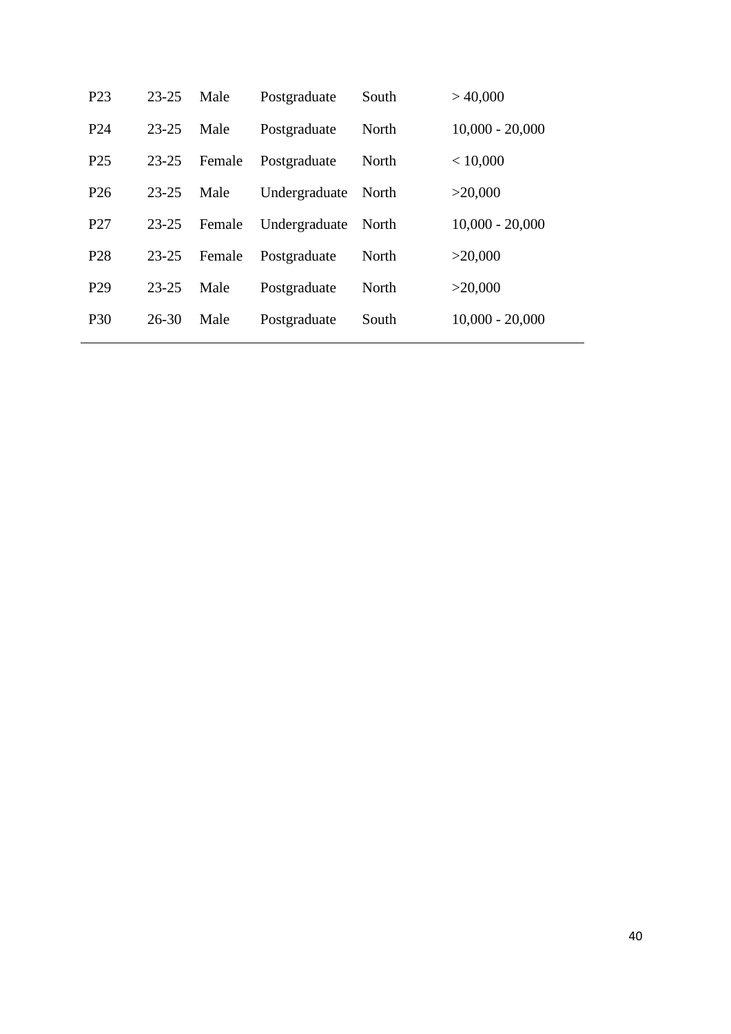| P <sub>23</sub> | $23 - 25$ | Male   | Postgraduate  | South | >40,000           |
|-----------------|-----------|--------|---------------|-------|-------------------|
| P <sub>24</sub> | $23 - 25$ | Male   | Postgraduate  | North | $10,000 - 20,000$ |
| P <sub>25</sub> | $23 - 25$ | Female | Postgraduate  | North | < 10,000          |
| P <sub>26</sub> | $23 - 25$ | Male   | Undergraduate | North | >20,000           |
| P <sub>27</sub> | $23 - 25$ | Female | Undergraduate | North | $10,000 - 20,000$ |
| P <sub>28</sub> | $23 - 25$ | Female | Postgraduate  | North | >20,000           |
| P <sub>29</sub> | $23 - 25$ | Male   | Postgraduate  | North | >20,000           |
| <b>P30</b>      | $26 - 30$ | Male   | Postgraduate  | South | $10,000 - 20,000$ |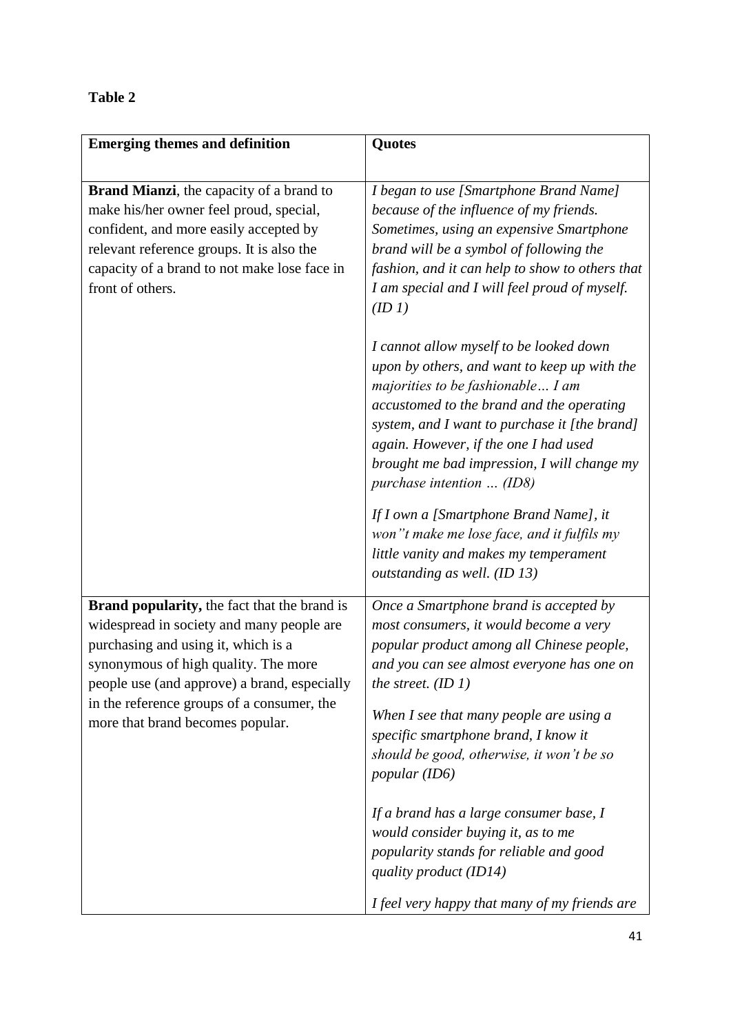## **Table 2**

| <b>Emerging themes and definition</b>                                                                                                                                                                                                                                                                             | <b>Quotes</b>                                                                                                                                                                                                                                                                                                                                   |
|-------------------------------------------------------------------------------------------------------------------------------------------------------------------------------------------------------------------------------------------------------------------------------------------------------------------|-------------------------------------------------------------------------------------------------------------------------------------------------------------------------------------------------------------------------------------------------------------------------------------------------------------------------------------------------|
|                                                                                                                                                                                                                                                                                                                   |                                                                                                                                                                                                                                                                                                                                                 |
| <b>Brand Mianzi</b> , the capacity of a brand to<br>make his/her owner feel proud, special,<br>confident, and more easily accepted by<br>relevant reference groups. It is also the<br>capacity of a brand to not make lose face in<br>front of others.                                                            | I began to use [Smartphone Brand Name]<br>because of the influence of my friends.<br>Sometimes, using an expensive Smartphone<br>brand will be a symbol of following the<br>fashion, and it can help to show to others that<br>I am special and I will feel proud of myself.<br>(ID 1)                                                          |
|                                                                                                                                                                                                                                                                                                                   | I cannot allow myself to be looked down<br>upon by others, and want to keep up with the<br>majorities to be fashionable I am<br>accustomed to the brand and the operating<br>system, and I want to purchase it [the brand]<br>again. However, if the one I had used<br>brought me bad impression, I will change my<br>purchase intention  (ID8) |
|                                                                                                                                                                                                                                                                                                                   | If I own a [Smartphone Brand Name], it<br>won"t make me lose face, and it fulfils my<br>little vanity and makes my temperament<br>outstanding as well. (ID 13)                                                                                                                                                                                  |
| <b>Brand popularity, the fact that the brand is</b><br>widespread in society and many people are<br>purchasing and using it, which is a<br>synonymous of high quality. The more<br>people use (and approve) a brand, especially<br>in the reference groups of a consumer, the<br>more that brand becomes popular. | Once a Smartphone brand is accepted by<br>most consumers, it would become a very<br>popular product among all Chinese people,<br>and you can see almost everyone has one on<br>the street. $(ID 1)$<br>When I see that many people are using a                                                                                                  |
|                                                                                                                                                                                                                                                                                                                   | specific smartphone brand, I know it<br>should be good, otherwise, it won't be so<br><i>popular</i> (ID6)                                                                                                                                                                                                                                       |
|                                                                                                                                                                                                                                                                                                                   | If a brand has a large consumer base, I<br>would consider buying it, as to me<br>popularity stands for reliable and good<br>quality product (ID14)                                                                                                                                                                                              |
|                                                                                                                                                                                                                                                                                                                   | I feel very happy that many of my friends are                                                                                                                                                                                                                                                                                                   |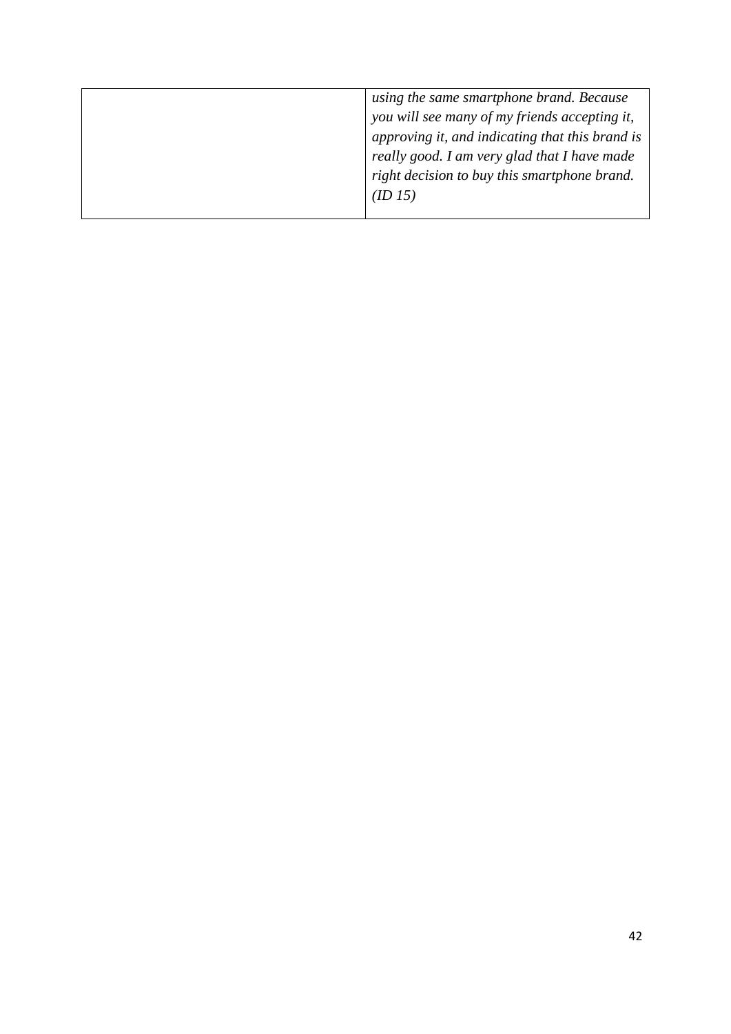| using the same smartphone brand. Because        |
|-------------------------------------------------|
| you will see many of my friends accepting it,   |
| approving it, and indicating that this brand is |
| really good. I am very glad that I have made    |
| right decision to buy this smartphone brand.    |
| (ID 15)                                         |
|                                                 |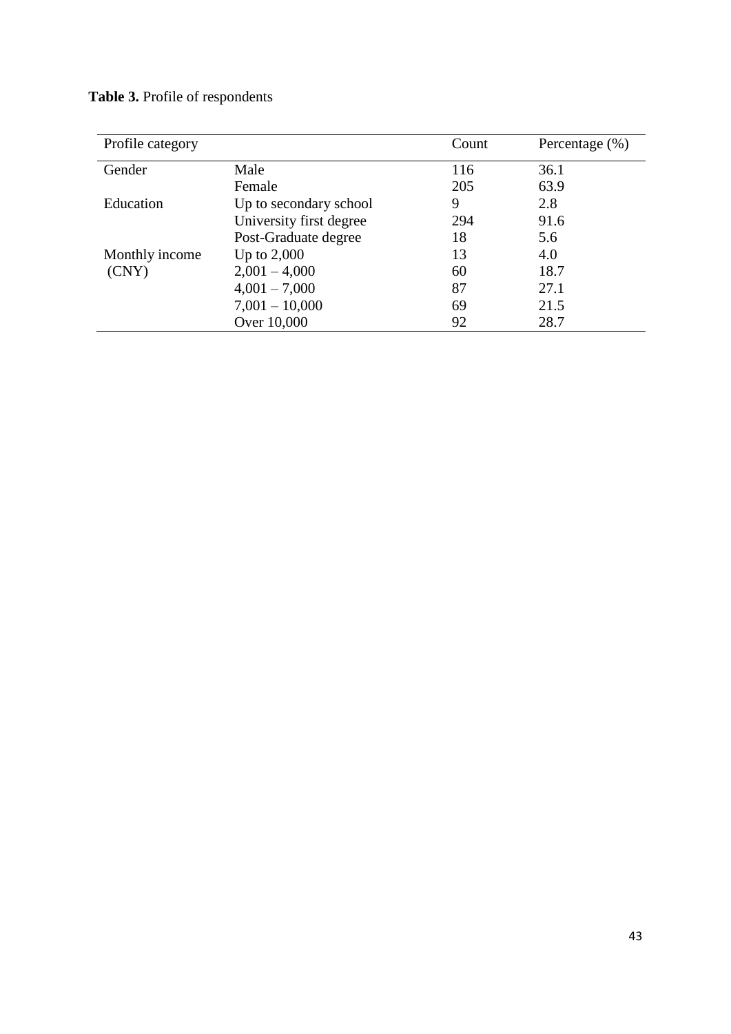| Profile category |                         | Count | Percentage $(\% )$ |
|------------------|-------------------------|-------|--------------------|
| Gender           | Male                    | 116   | 36.1               |
|                  | Female                  | 205   | 63.9               |
| Education        | Up to secondary school  | 9     | 2.8                |
|                  | University first degree | 294   | 91.6               |
|                  | Post-Graduate degree    | 18    | 5.6                |
| Monthly income   | Up to $2,000$           | 13    | 4.0                |
| (CNY)            | $2,001 - 4,000$         | 60    | 18.7               |
|                  | $4,001 - 7,000$         | 87    | 27.1               |
|                  | $7,001 - 10,000$        | 69    | 21.5               |
|                  | Over 10,000             | 92    | 28.7               |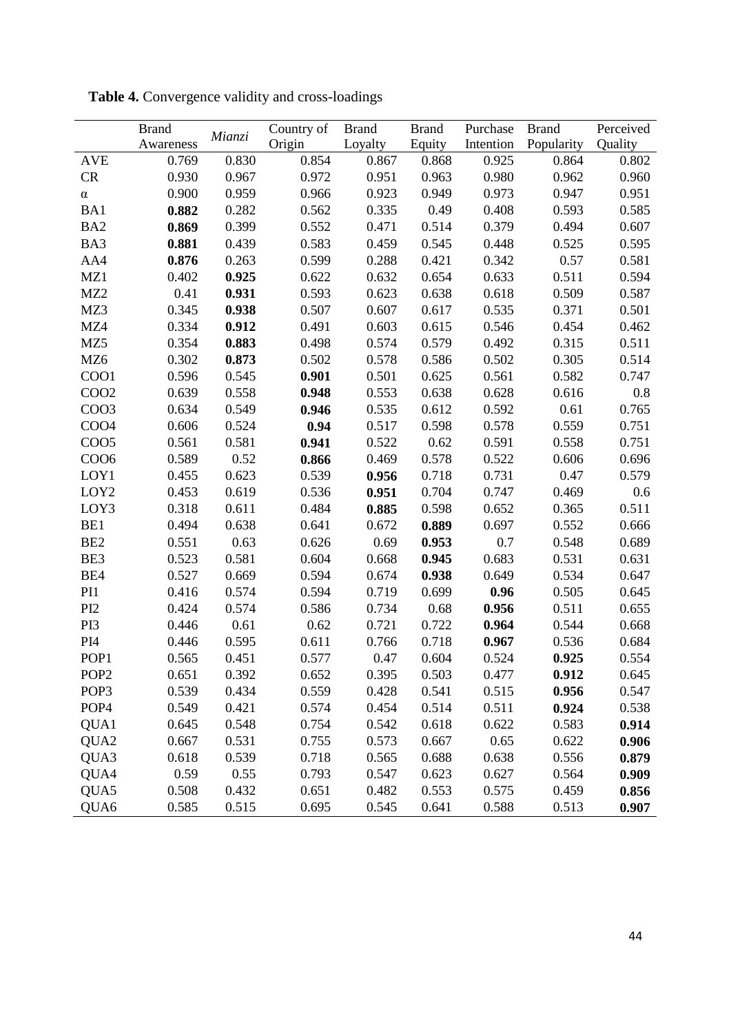|                   | <b>Brand</b> |        | Country of | <b>Brand</b> | <b>Brand</b> | Purchase  | <b>Brand</b> | Perceived |
|-------------------|--------------|--------|------------|--------------|--------------|-----------|--------------|-----------|
|                   | Awareness    | Mianzi | Origin     | Loyalty      | Equity       | Intention | Popularity   | Quality   |
| <b>AVE</b>        | 0.769        | 0.830  | 0.854      | 0.867        | 0.868        | 0.925     | 0.864        | 0.802     |
| CR                | 0.930        | 0.967  | 0.972      | 0.951        | 0.963        | 0.980     | 0.962        | 0.960     |
| $\alpha$          | 0.900        | 0.959  | 0.966      | 0.923        | 0.949        | 0.973     | 0.947        | 0.951     |
| BA1               | 0.882        | 0.282  | 0.562      | 0.335        | 0.49         | 0.408     | 0.593        | 0.585     |
| BA <sub>2</sub>   | 0.869        | 0.399  | 0.552      | 0.471        | 0.514        | 0.379     | 0.494        | 0.607     |
| BA3               | 0.881        | 0.439  | 0.583      | 0.459        | 0.545        | 0.448     | 0.525        | 0.595     |
| AA4               | 0.876        | 0.263  | 0.599      | 0.288        | 0.421        | 0.342     | 0.57         | 0.581     |
| MZ1               | 0.402        | 0.925  | 0.622      | 0.632        | 0.654        | 0.633     | 0.511        | 0.594     |
| MZ <sub>2</sub>   | 0.41         | 0.931  | 0.593      | 0.623        | 0.638        | 0.618     | 0.509        | 0.587     |
| MZ3               | 0.345        | 0.938  | 0.507      | 0.607        | 0.617        | 0.535     | 0.371        | 0.501     |
| MZ4               | 0.334        | 0.912  | 0.491      | 0.603        | 0.615        | 0.546     | 0.454        | 0.462     |
| MZ5               | 0.354        | 0.883  | 0.498      | 0.574        | 0.579        | 0.492     | 0.315        | 0.511     |
| MZ <sub>6</sub>   | 0.302        | 0.873  | 0.502      | 0.578        | 0.586        | 0.502     | 0.305        | 0.514     |
| CO <sub>O1</sub>  | 0.596        | 0.545  | 0.901      | 0.501        | 0.625        | 0.561     | 0.582        | 0.747     |
| COO <sub>2</sub>  | 0.639        | 0.558  | 0.948      | 0.553        | 0.638        | 0.628     | 0.616        | 0.8       |
| COO <sub>3</sub>  | 0.634        | 0.549  | 0.946      | 0.535        | 0.612        | 0.592     | 0.61         | 0.765     |
| COO <sub>4</sub>  | 0.606        | 0.524  | 0.94       | 0.517        | 0.598        | 0.578     | 0.559        | 0.751     |
| CO <sub>O</sub> 5 | 0.561        | 0.581  | 0.941      | 0.522        | 0.62         | 0.591     | 0.558        | 0.751     |
| CO <sub>O6</sub>  | 0.589        | 0.52   | 0.866      | 0.469        | 0.578        | 0.522     | 0.606        | 0.696     |
| LOY1              | 0.455        | 0.623  | 0.539      | 0.956        | 0.718        | 0.731     | 0.47         | 0.579     |
| LOY <sub>2</sub>  | 0.453        | 0.619  | 0.536      | 0.951        | 0.704        | 0.747     | 0.469        | 0.6       |
| LOY3              | 0.318        | 0.611  | 0.484      | 0.885        | 0.598        | 0.652     | 0.365        | 0.511     |
| BE1               | 0.494        | 0.638  | 0.641      | 0.672        | 0.889        | 0.697     | 0.552        | 0.666     |
| BE <sub>2</sub>   | 0.551        | 0.63   | 0.626      | 0.69         | 0.953        | 0.7       | 0.548        | 0.689     |
| BE3               | 0.523        | 0.581  | 0.604      | 0.668        | 0.945        | 0.683     | 0.531        | 0.631     |
| BE4               | 0.527        | 0.669  | 0.594      | 0.674        | 0.938        | 0.649     | 0.534        | 0.647     |
| PI1               | 0.416        | 0.574  | 0.594      | 0.719        | 0.699        | 0.96      | 0.505        | 0.645     |
| PI <sub>2</sub>   | 0.424        | 0.574  | 0.586      | 0.734        | 0.68         | 0.956     | 0.511        | 0.655     |
| PI3               | 0.446        | 0.61   | 0.62       | 0.721        | 0.722        | 0.964     | 0.544        | 0.668     |
| PI <sub>4</sub>   | 0.446        | 0.595  | 0.611      | 0.766        | 0.718        | 0.967     | 0.536        | 0.684     |
| POP <sub>1</sub>  | 0.565        | 0.451  | 0.577      | 0.47         | 0.604        | 0.524     | 0.925        | 0.554     |
| POP <sub>2</sub>  | 0.651        | 0.392  | 0.652      | 0.395        | 0.503        | 0.477     | 0.912        | 0.645     |
| POP <sub>3</sub>  | 0.539        | 0.434  | 0.559      | 0.428        | 0.541        | 0.515     | 0.956        | 0.547     |
| POP <sub>4</sub>  | 0.549        | 0.421  | 0.574      | 0.454        | 0.514        | 0.511     | 0.924        | 0.538     |
| QUA1              | 0.645        | 0.548  | 0.754      | 0.542        | 0.618        | 0.622     | 0.583        | 0.914     |
| QUA2              | 0.667        | 0.531  | 0.755      | 0.573        | 0.667        | 0.65      | 0.622        | 0.906     |
| QUA3              | 0.618        | 0.539  | 0.718      | 0.565        | 0.688        | 0.638     | 0.556        | 0.879     |
| QUA4              | 0.59         | 0.55   | 0.793      | 0.547        | 0.623        | 0.627     | 0.564        | 0.909     |
| QUA5              | 0.508        | 0.432  | 0.651      | 0.482        | 0.553        | 0.575     | 0.459        | 0.856     |
| QUA6              | 0.585        | 0.515  | 0.695      | 0.545        | 0.641        | 0.588     | 0.513        | 0.907     |

**Table 4.** Convergence validity and cross-loadings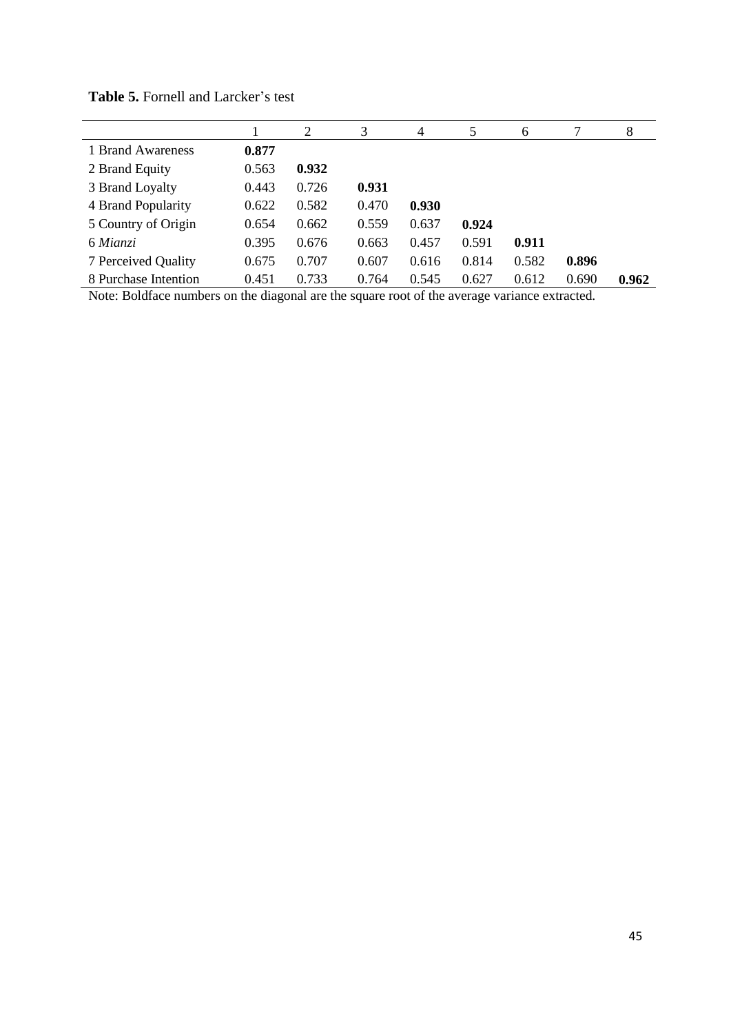|                      |       | 2     | 3     | 4     | 5     | 6     |       | 8     |
|----------------------|-------|-------|-------|-------|-------|-------|-------|-------|
| 1 Brand Awareness    | 0.877 |       |       |       |       |       |       |       |
| 2 Brand Equity       | 0.563 | 0.932 |       |       |       |       |       |       |
| 3 Brand Loyalty      | 0.443 | 0.726 | 0.931 |       |       |       |       |       |
| 4 Brand Popularity   | 0.622 | 0.582 | 0.470 | 0.930 |       |       |       |       |
| 5 Country of Origin  | 0.654 | 0.662 | 0.559 | 0.637 | 0.924 |       |       |       |
| 6 Mianzi             | 0.395 | 0.676 | 0.663 | 0.457 | 0.591 | 0.911 |       |       |
| 7 Perceived Quality  | 0.675 | 0.707 | 0.607 | 0.616 | 0.814 | 0.582 | 0.896 |       |
| 8 Purchase Intention | 0.451 | 0.733 | 0.764 | 0.545 | 0.627 | 0.612 | 0.690 | 0.962 |

| Table 5. Fornell and Larcker's test |  |
|-------------------------------------|--|
|-------------------------------------|--|

Note: Boldface numbers on the diagonal are the square root of the average variance extracted.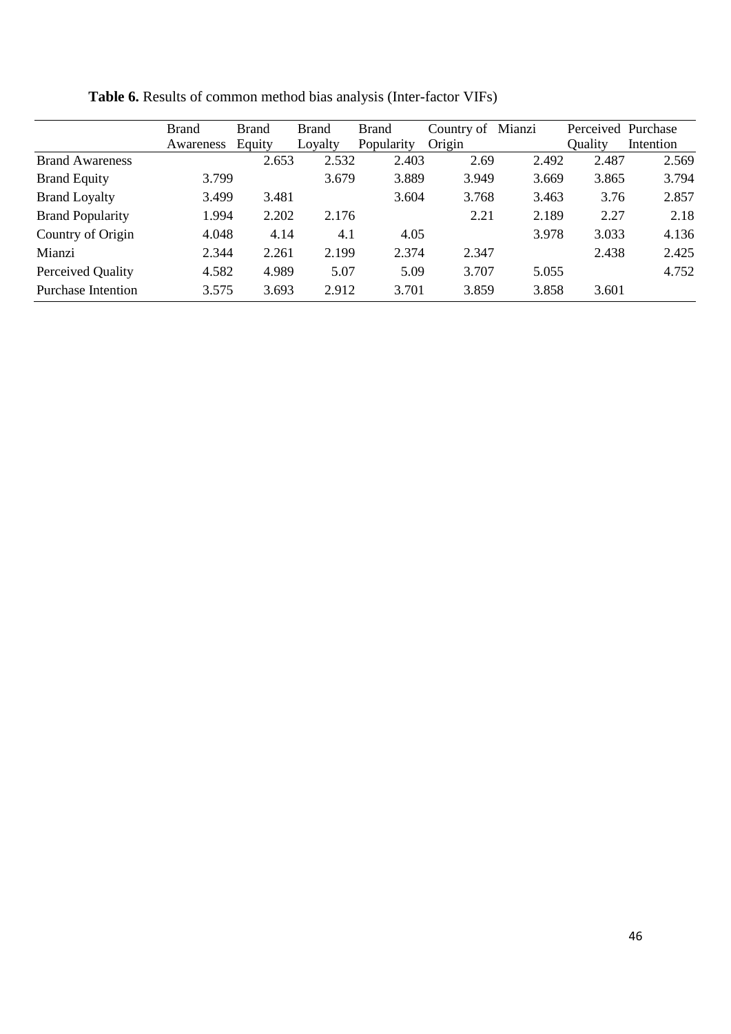|                           | <b>Brand</b> | <b>Brand</b> | <b>Brand</b> | <b>Brand</b> | Country of | Mianzi | Perceived Purchase |           |
|---------------------------|--------------|--------------|--------------|--------------|------------|--------|--------------------|-----------|
|                           | Awareness    | Equity       | Loyalty      | Popularity   | Origin     |        | Quality            | Intention |
| <b>Brand Awareness</b>    |              | 2.653        | 2.532        | 2.403        | 2.69       | 2.492  | 2.487              | 2.569     |
| <b>Brand Equity</b>       | 3.799        |              | 3.679        | 3.889        | 3.949      | 3.669  | 3.865              | 3.794     |
| <b>Brand Loyalty</b>      | 3.499        | 3.481        |              | 3.604        | 3.768      | 3.463  | 3.76               | 2.857     |
| <b>Brand Popularity</b>   | 1.994        | 2.202        | 2.176        |              | 2.21       | 2.189  | 2.27               | 2.18      |
| Country of Origin         | 4.048        | 4.14         | 4.1          | 4.05         |            | 3.978  | 3.033              | 4.136     |
| Mianzi                    | 2.344        | 2.261        | 2.199        | 2.374        | 2.347      |        | 2.438              | 2.425     |
| Perceived Quality         | 4.582        | 4.989        | 5.07         | 5.09         | 3.707      | 5.055  |                    | 4.752     |
| <b>Purchase Intention</b> | 3.575        | 3.693        | 2.912        | 3.701        | 3.859      | 3.858  | 3.601              |           |

**Table 6.** Results of common method bias analysis (Inter-factor VIFs)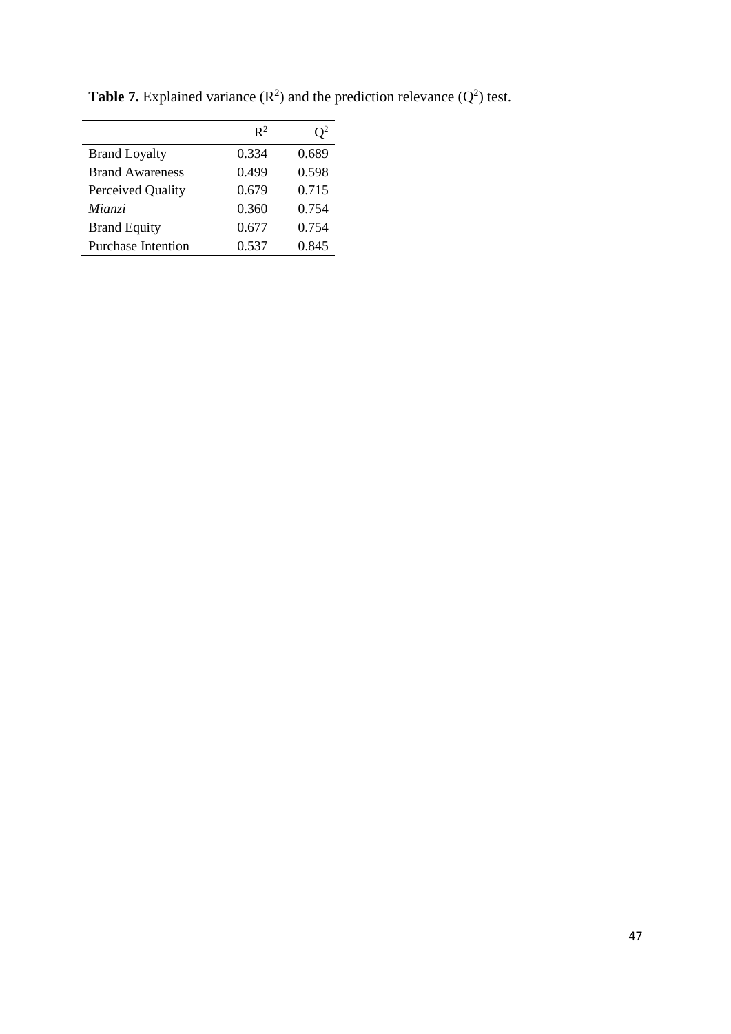|                           | $\mathbb{R}^2$ |       |
|---------------------------|----------------|-------|
| <b>Brand Loyalty</b>      | 0.334          | 0.689 |
| <b>Brand Awareness</b>    | 0.499          | 0.598 |
| Perceived Quality         | 0.679          | 0.715 |
| Mianzi                    | 0.360          | 0.754 |
| <b>Brand Equity</b>       | 0.677          | 0.754 |
| <b>Purchase Intention</b> | 0.537          | 0.845 |

**Table 7.** Explained variance  $(R^2)$  and the prediction relevance  $(Q^2)$  test.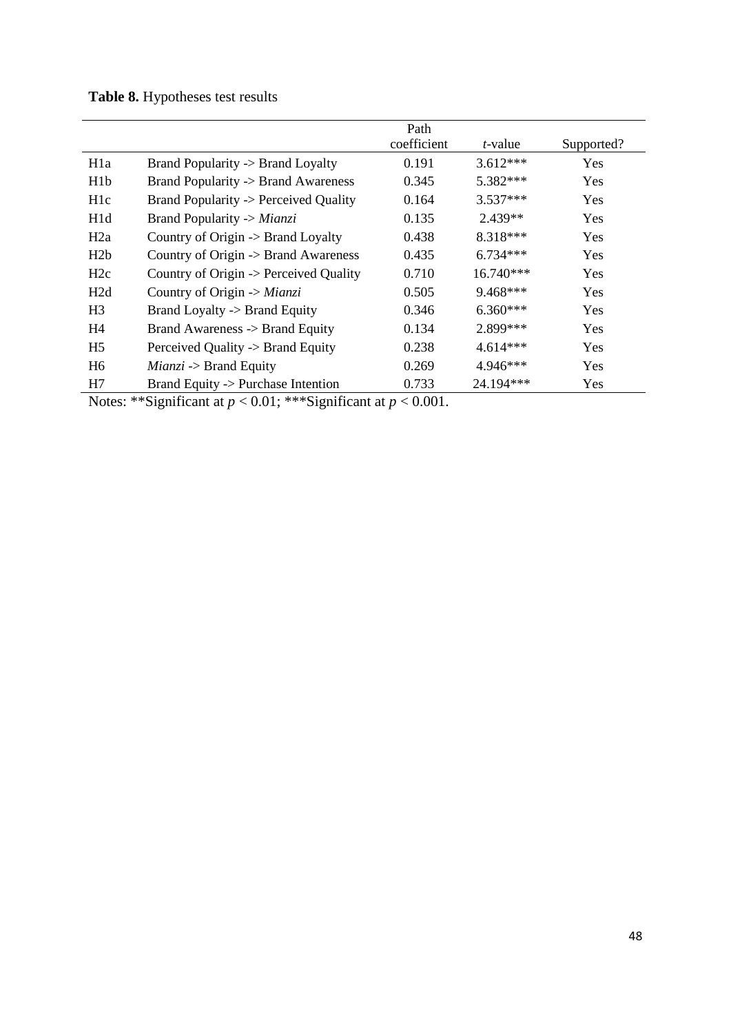# **Table 8.** Hypotheses test results

|                  |                                               | Path        |                 |            |
|------------------|-----------------------------------------------|-------------|-----------------|------------|
|                  |                                               | coefficient | <i>t</i> -value | Supported? |
| H <sub>1</sub> a | <b>Brand Popularity -&gt; Brand Loyalty</b>   | 0.191       | $3.612***$      | Yes        |
| H <sub>1</sub> b | Brand Popularity -> Brand Awareness           | 0.345       | 5.382***        | <b>Yes</b> |
| H <sub>1</sub> c | Brand Popularity -> Perceived Quality         | 0.164       | $3.537***$      | <b>Yes</b> |
| H <sub>1</sub> d | Brand Popularity -> Mianzi                    | 0.135       | $2.439**$       | Yes        |
| H2a              | Country of Origin $\rightarrow$ Brand Loyalty | 0.438       | 8.318***        | <b>Yes</b> |
| H2b              | Country of Origin -> Brand Awareness          | 0.435       | $6.734***$      | Yes        |
| H2c              | Country of Origin -> Perceived Quality        | 0.710       | 16.740***       | <b>Yes</b> |
| H2d              | Country of Origin $\rightarrow$ Mianzi        | 0.505       | $9.468***$      | <b>Yes</b> |
| H <sub>3</sub>   | Brand Loyalty -> Brand Equity                 | 0.346       | $6.360***$      | <b>Yes</b> |
| H <sub>4</sub>   | Brand Awareness -> Brand Equity               | 0.134       | 2.899 ***       | <b>Yes</b> |
| H <sub>5</sub>   | Perceived Quality -> Brand Equity             | 0.238       | $4.614***$      | Yes        |
| H <sub>6</sub>   | $Mainzi \rightarrow Brand$ Equity             | 0.269       | 4.946***        | Yes        |
| H7               | Brand Equity -> Purchase Intention            | 0.733       | 24.194***       | Yes        |

Notes: \*\*Significant at *p* < 0.01; \*\*\*Significant at *p* < 0.001.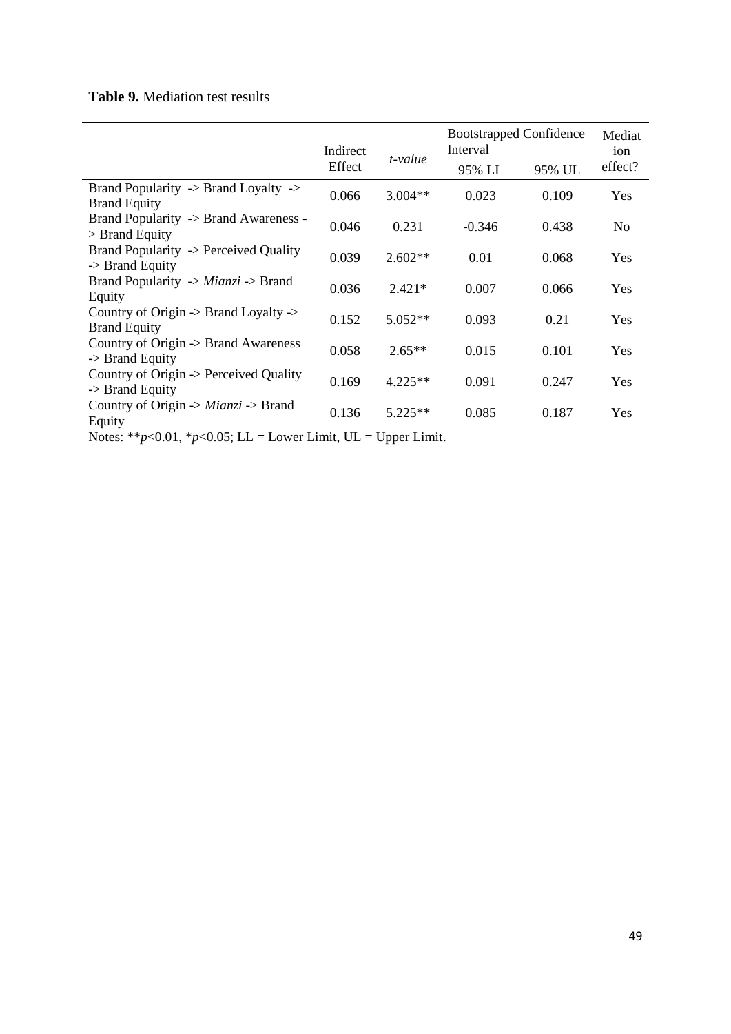## **Table 9.** Mediation test results

|                                                                                    | Indirect<br>Effect | t-value   | <b>Bootstrapped Confidence</b><br>Interval |        | Mediat<br>ion |
|------------------------------------------------------------------------------------|--------------------|-----------|--------------------------------------------|--------|---------------|
|                                                                                    |                    |           | 95% LL                                     | 95% UL | effect?       |
| Brand Popularity -> Brand Loyalty -><br><b>Brand Equity</b>                        | 0.066              | $3.004**$ | 0.023                                      | 0.109  | Yes           |
| Brand Popularity -> Brand Awareness -<br>$>$ Brand Equity                          | 0.046              | 0.231     | $-0.346$                                   | 0.438  | No            |
| Brand Popularity -> Perceived Quality<br>-> Brand Equity                           | 0.039              | $2.602**$ | 0.01                                       | 0.068  | <b>Yes</b>    |
| Brand Popularity $\rightarrow$ Mianzi $\rightarrow$ Brand<br>Equity                | 0.036              | $2.421*$  | 0.007                                      | 0.066  | Yes           |
| Country of Origin $\rightarrow$ Brand Loyalty $\rightarrow$<br><b>Brand Equity</b> | 0.152              | 5.052**   | 0.093                                      | 0.21   | <b>Yes</b>    |
| Country of Origin -> Brand Awareness<br>$\rightarrow$ Brand Equity                 | 0.058              | $2.65**$  | 0.015                                      | 0.101  | <b>Yes</b>    |
| Country of Origin -> Perceived Quality<br>$\rightarrow$ Brand Equity               | 0.169              | $4.225**$ | 0.091                                      | 0.247  | <b>Yes</b>    |
| Country of Origin -> $Mianzi$ -> Brand<br>Equity                                   | 0.136              | $5.225**$ | 0.085                                      | 0.187  | <b>Yes</b>    |

Notes:  $*^{*}p<0.01$ ,  $*_{p}<0.05$ ; LL = Lower Limit, UL = Upper Limit.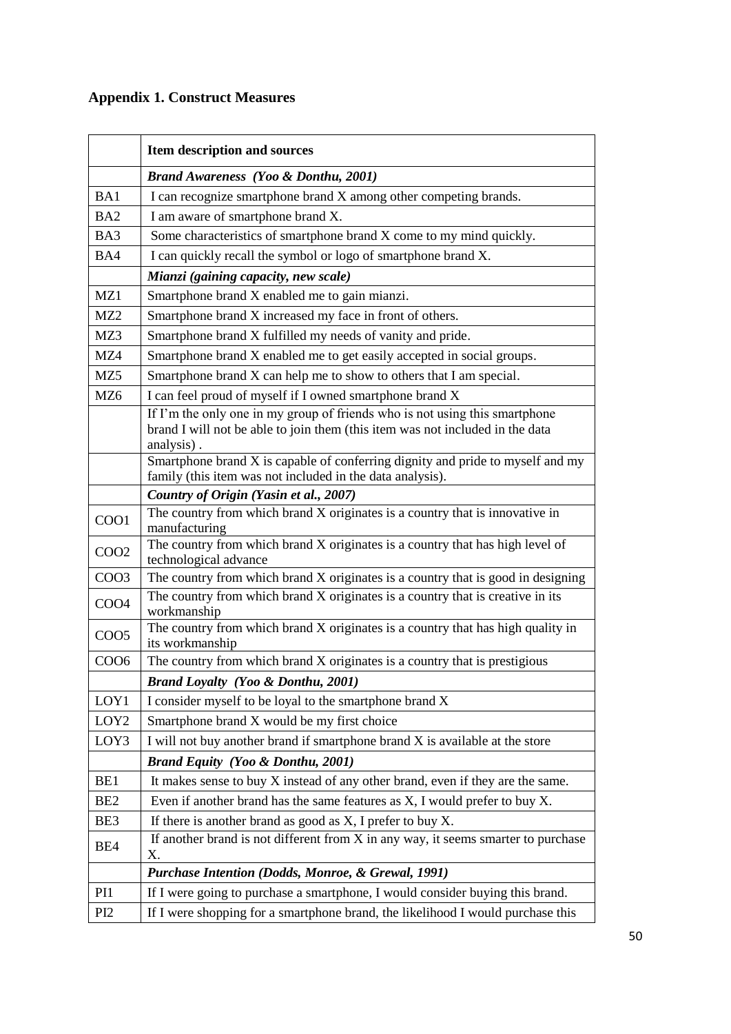# **Appendix 1. Construct Measures**

|                   | Item description and sources                                                                                                                                               |  |  |
|-------------------|----------------------------------------------------------------------------------------------------------------------------------------------------------------------------|--|--|
|                   | <b>Brand Awareness (Yoo &amp; Donthu, 2001)</b>                                                                                                                            |  |  |
| BA1               | I can recognize smartphone brand X among other competing brands.                                                                                                           |  |  |
| BA <sub>2</sub>   | I am aware of smartphone brand X.                                                                                                                                          |  |  |
| BA3               | Some characteristics of smartphone brand X come to my mind quickly.                                                                                                        |  |  |
| BA4               | I can quickly recall the symbol or logo of smartphone brand X.                                                                                                             |  |  |
|                   | Mianzi (gaining capacity, new scale)                                                                                                                                       |  |  |
| MZ1               | Smartphone brand X enabled me to gain mianzi.                                                                                                                              |  |  |
| MZ <sub>2</sub>   | Smartphone brand X increased my face in front of others.                                                                                                                   |  |  |
| MZ3               | Smartphone brand X fulfilled my needs of vanity and pride.                                                                                                                 |  |  |
| MZ4               | Smartphone brand X enabled me to get easily accepted in social groups.                                                                                                     |  |  |
| MZ5               | Smartphone brand X can help me to show to others that I am special.                                                                                                        |  |  |
| MZ <sub>6</sub>   | I can feel proud of myself if I owned smartphone brand X                                                                                                                   |  |  |
|                   | If I'm the only one in my group of friends who is not using this smartphone<br>brand I will not be able to join them (this item was not included in the data<br>analysis). |  |  |
|                   | Smartphone brand X is capable of conferring dignity and pride to myself and my<br>family (this item was not included in the data analysis).                                |  |  |
|                   | Country of Origin (Yasin et al., 2007)                                                                                                                                     |  |  |
| COO1              | The country from which brand X originates is a country that is innovative in<br>manufacturing                                                                              |  |  |
| COO <sub>2</sub>  | The country from which brand X originates is a country that has high level of<br>technological advance                                                                     |  |  |
| COO3              | The country from which brand X originates is a country that is good in designing                                                                                           |  |  |
| COO4              | The country from which brand X originates is a country that is creative in its<br>workmanship                                                                              |  |  |
| COO <sub>5</sub>  | The country from which brand X originates is a country that has high quality in<br>its workmanship                                                                         |  |  |
| CO <sub>O</sub> 6 | The country from which brand X originates is a country that is prestigious                                                                                                 |  |  |
|                   | <b>Brand Loyalty (Yoo &amp; Donthu, 2001)</b>                                                                                                                              |  |  |
| LOY1              | I consider myself to be loyal to the smartphone brand X                                                                                                                    |  |  |
| LOY <sub>2</sub>  | Smartphone brand X would be my first choice                                                                                                                                |  |  |
| LOY3              | I will not buy another brand if smartphone brand X is available at the store                                                                                               |  |  |
|                   | <b>Brand Equity (Yoo &amp; Donthu, 2001)</b>                                                                                                                               |  |  |
| BE1               | It makes sense to buy X instead of any other brand, even if they are the same.                                                                                             |  |  |
| BE <sub>2</sub>   | Even if another brand has the same features as X, I would prefer to buy X.                                                                                                 |  |  |
| BE3               | If there is another brand as good as $X$ , I prefer to buy $X$ .                                                                                                           |  |  |
| BE4               | If another brand is not different from $X$ in any way, it seems smarter to purchase<br>Χ.                                                                                  |  |  |
|                   | Purchase Intention (Dodds, Monroe, & Grewal, 1991)                                                                                                                         |  |  |
| PI1               | If I were going to purchase a smartphone, I would consider buying this brand.                                                                                              |  |  |
| PI <sub>2</sub>   | If I were shopping for a smartphone brand, the likelihood I would purchase this                                                                                            |  |  |